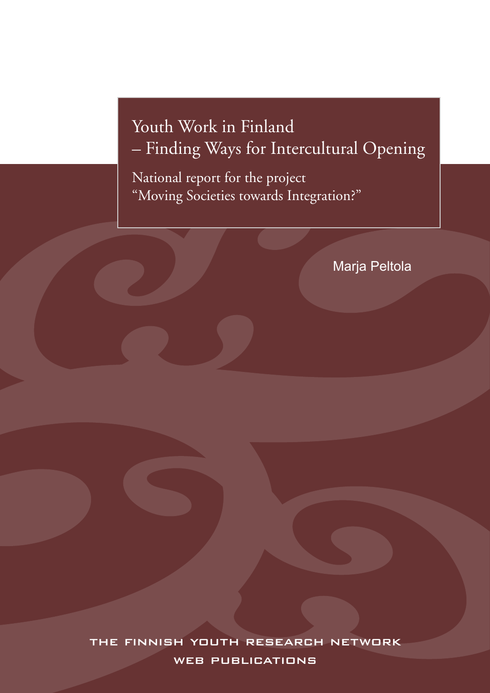# Youth Work in Finland – Finding Ways for Intercultural Opening

National report for the project "Moving Societies towards Integration?"

Marja Peltola

the finnish youth research network WEB PUBLICATIONS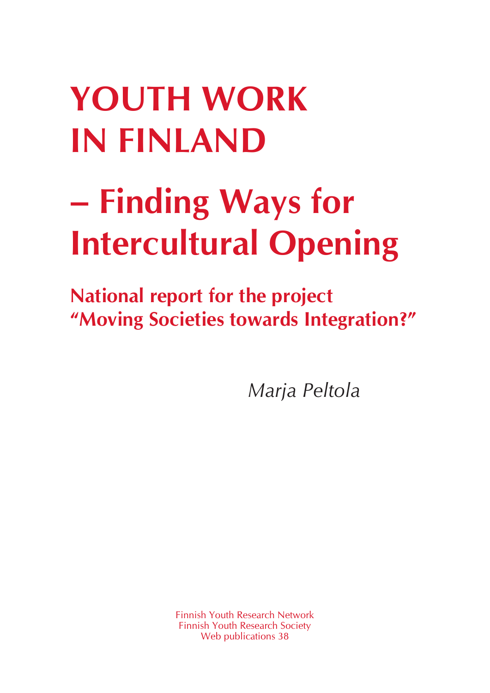# **YOuth Work in Finland**

# **– Finding Ways for Intercultural Opening**

**National report for the project "Moving Societies towards Integration?"**

*Marja Peltola* 

Finnish Youth Research Network Finnish Youth Research Society Web publications 38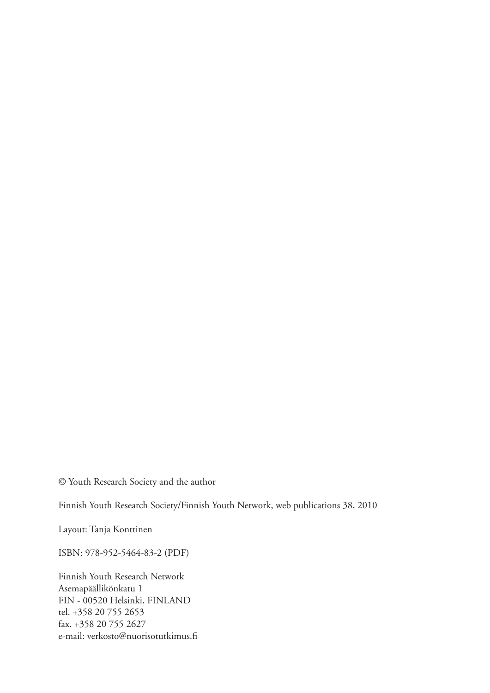© Youth Research Society and the author

Finnish Youth Research Society/Finnish Youth Network, web publications 38, 2010

Layout: Tanja Konttinen

ISBN: 978-952-5464-83-2 (PDF)

Finnish Youth Research Network Asemapäällikönkatu 1 FIN - 00520 Helsinki, FINLAND tel. +358 20 755 2653 fax. +358 20 755 2627 e-mail: verkosto@nuorisotutkimus.fi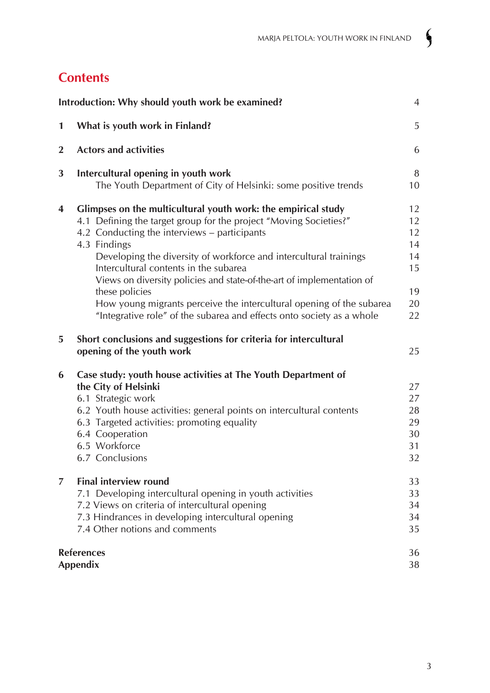# **Contents**

| Introduction: Why should youth work be examined?<br>$\overline{4}$ |                                                                                                                                                                                                                                                                                                                                                                                                                                                                                     |                                              |
|--------------------------------------------------------------------|-------------------------------------------------------------------------------------------------------------------------------------------------------------------------------------------------------------------------------------------------------------------------------------------------------------------------------------------------------------------------------------------------------------------------------------------------------------------------------------|----------------------------------------------|
| $\mathbf{1}$                                                       | What is youth work in Finland?                                                                                                                                                                                                                                                                                                                                                                                                                                                      | 5                                            |
| $\overline{2}$                                                     | <b>Actors and activities</b>                                                                                                                                                                                                                                                                                                                                                                                                                                                        | 6                                            |
| 3                                                                  | Intercultural opening in youth work<br>The Youth Department of City of Helsinki: some positive trends                                                                                                                                                                                                                                                                                                                                                                               | 8<br>10                                      |
| $\overline{\mathbf{4}}$                                            | Glimpses on the multicultural youth work: the empirical study<br>4.1 Defining the target group for the project "Moving Societies?"<br>4.2 Conducting the interviews – participants<br>4.3 Findings<br>Developing the diversity of workforce and intercultural trainings<br>Intercultural contents in the subarea<br>Views on diversity policies and state-of-the-art of implementation of<br>these policies<br>How young migrants perceive the intercultural opening of the subarea | 12<br>12<br>12<br>14<br>14<br>15<br>19<br>20 |
| 5                                                                  | "Integrative role" of the subarea and effects onto society as a whole<br>Short conclusions and suggestions for criteria for intercultural<br>opening of the youth work                                                                                                                                                                                                                                                                                                              | 22<br>25                                     |
| 6                                                                  | Case study: youth house activities at The Youth Department of<br>the City of Helsinki<br>6.1 Strategic work<br>6.2 Youth house activities: general points on intercultural contents<br>6.3 Targeted activities: promoting equality<br>6.4 Cooperation<br>6.5 Workforce<br>6.7 Conclusions                                                                                                                                                                                           | 27<br>27<br>28<br>29<br>30<br>31<br>32       |
| 7                                                                  | <b>Final interview round</b><br>7.1 Developing intercultural opening in youth activities<br>7.2 Views on criteria of intercultural opening<br>7.3 Hindrances in developing intercultural opening<br>7.4 Other notions and comments                                                                                                                                                                                                                                                  | 33<br>33<br>34<br>34<br>35                   |
|                                                                    | <b>References</b><br><b>Appendix</b>                                                                                                                                                                                                                                                                                                                                                                                                                                                |                                              |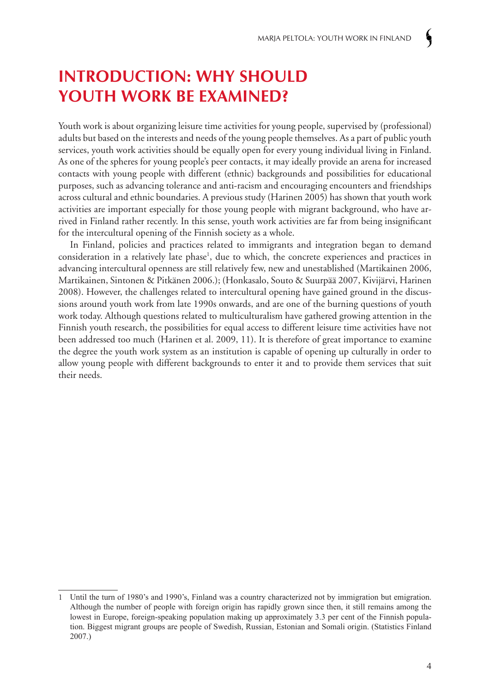# **Introduction: Why should youth work be examined?**

Youth work is about organizing leisure time activities for young people, supervised by (professional) adults but based on the interests and needs of the young people themselves. As a part of public youth services, youth work activities should be equally open for every young individual living in Finland. As one of the spheres for young people's peer contacts, it may ideally provide an arena for increased contacts with young people with different (ethnic) backgrounds and possibilities for educational purposes, such as advancing tolerance and anti-racism and encouraging encounters and friendships across cultural and ethnic boundaries. A previous study (Harinen 2005) has shown that youth work activities are important especially for those young people with migrant background, who have arrived in Finland rather recently. In this sense, youth work activities are far from being insignificant for the intercultural opening of the Finnish society as a whole.

In Finland, policies and practices related to immigrants and integration began to demand consideration in a relatively late phase<sup>1</sup>, due to which, the concrete experiences and practices in advancing intercultural openness are still relatively few, new and unestablished (Martikainen 2006, Martikainen, Sintonen & Pitkänen 2006.); (Honkasalo, Souto & Suurpää 2007, Kivijärvi, Harinen 2008). However, the challenges related to intercultural opening have gained ground in the discussions around youth work from late 1990s onwards, and are one of the burning questions of youth work today. Although questions related to multiculturalism have gathered growing attention in the Finnish youth research, the possibilities for equal access to different leisure time activities have not been addressed too much (Harinen et al. 2009, 11). It is therefore of great importance to examine the degree the youth work system as an institution is capable of opening up culturally in order to allow young people with different backgrounds to enter it and to provide them services that suit their needs.

<sup>1</sup> Until the turn of 1980's and 1990's, Finland was a country characterized not by immigration but emigration. Although the number of people with foreign origin has rapidly grown since then, it still remains among the lowest in Europe, foreign-speaking population making up approximately 3.3 per cent of the Finnish population. Biggest migrant groups are people of Swedish, Russian, Estonian and Somali origin. (Statistics Finland 2007.)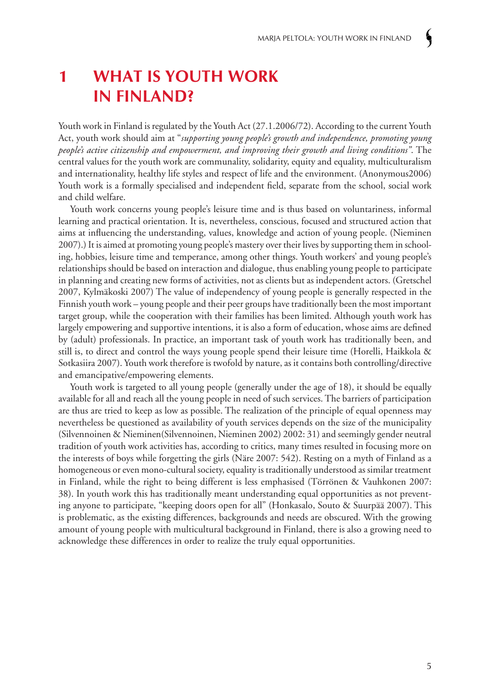# **1 What is youth work in Finland?**

Youth work in Finland is regulated by the Youth Act (27.1.2006/72). According to the current Youth Act, youth work should aim at "*supporting young people's growth and independence, promoting young people's active citizenship and empowerment, and improving their growth and living conditions"*. The central values for the youth work are communality, solidarity, equity and equality, multiculturalism and internationality, healthy life styles and respect of life and the environment. (Anonymous2006) Youth work is a formally specialised and independent field, separate from the school, social work and child welfare.

Youth work concerns young people's leisure time and is thus based on voluntariness, informal learning and practical orientation. It is, nevertheless, conscious, focused and structured action that aims at influencing the understanding, values, knowledge and action of young people. (Nieminen 2007).) It is aimed at promoting young people's mastery over their lives by supporting them in schooling, hobbies, leisure time and temperance, among other things. Youth workers' and young people's relationships should be based on interaction and dialogue, thus enabling young people to participate in planning and creating new forms of activities, not as clients but as independent actors. (Gretschel 2007, Kylmäkoski 2007) The value of independency of young people is generally respected in the Finnish youth work – young people and their peer groups have traditionally been the most important target group, while the cooperation with their families has been limited. Although youth work has largely empowering and supportive intentions, it is also a form of education, whose aims are defined by (adult) professionals. In practice, an important task of youth work has traditionally been, and still is, to direct and control the ways young people spend their leisure time (Horelli, Haikkola & Sotkasiira 2007). Youth work therefore is twofold by nature, as it contains both controlling/directive and emancipative/empowering elements.

Youth work is targeted to all young people (generally under the age of 18), it should be equally available for all and reach all the young people in need of such services. The barriers of participation are thus are tried to keep as low as possible. The realization of the principle of equal openness may nevertheless be questioned as availability of youth services depends on the size of the municipality (Silvennoinen & Nieminen(Silvennoinen, Nieminen 2002) 2002: 31) and seemingly gender neutral tradition of youth work activities has, according to critics, many times resulted in focusing more on the interests of boys while forgetting the girls (Näre 2007: 542). Resting on a myth of Finland as a homogeneous or even mono-cultural society, equality is traditionally understood as similar treatment in Finland, while the right to being different is less emphasised (Törrönen & Vauhkonen 2007: 38). In youth work this has traditionally meant understanding equal opportunities as not preventing anyone to participate, "keeping doors open for all" (Honkasalo, Souto & Suurpää 2007). This is problematic, as the existing differences, backgrounds and needs are obscured. With the growing amount of young people with multicultural background in Finland, there is also a growing need to acknowledge these differences in order to realize the truly equal opportunities.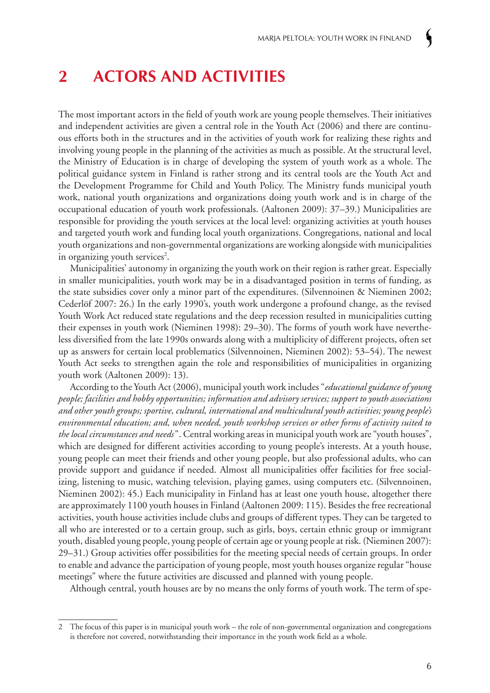# **2 Actors and activities**

The most important actors in the field of youth work are young people themselves. Their initiatives and independent activities are given a central role in the Youth Act (2006) and there are continuous efforts both in the structures and in the activities of youth work for realizing these rights and involving young people in the planning of the activities as much as possible. At the structural level, the Ministry of Education is in charge of developing the system of youth work as a whole. The political guidance system in Finland is rather strong and its central tools are the Youth Act and the Development Programme for Child and Youth Policy. The Ministry funds municipal youth work, national youth organizations and organizations doing youth work and is in charge of the occupational education of youth work professionals. (Aaltonen 2009): 37–39.) Municipalities are responsible for providing the youth services at the local level: organizing activities at youth houses and targeted youth work and funding local youth organizations. Congregations, national and local youth organizations and non-governmental organizations are working alongside with municipalities in organizing youth services<sup>2</sup>.

Municipalities' autonomy in organizing the youth work on their region is rather great. Especially in smaller municipalities, youth work may be in a disadvantaged position in terms of funding, as the state subsidies cover only a minor part of the expenditures. (Silvennoinen & Nieminen 2002; Cederlöf 2007: 26.) In the early 1990's, youth work undergone a profound change, as the revised Youth Work Act reduced state regulations and the deep recession resulted in municipalities cutting their expenses in youth work (Nieminen 1998): 29–30). The forms of youth work have nevertheless diversified from the late 1990s onwards along with a multiplicity of different projects, often set up as answers for certain local problematics (Silvennoinen, Nieminen 2002): 53–54). The newest Youth Act seeks to strengthen again the role and responsibilities of municipalities in organizing youth work (Aaltonen 2009): 13).

According to the Youth Act (2006), municipal youth work includes "*educational guidance of young people; facilities and hobby opportunities; information and advisory services; support to youth associations and other youth groups; sportive, cultural, international and multicultural youth activities; young people's environmental education; and, when needed, youth workshop services or other forms of activity suited to the local circumstances and needs"* . Central working areas in municipal youth work are "youth houses", which are designed for different activities according to young people's interests. At a youth house, young people can meet their friends and other young people, but also professional adults, who can provide support and guidance if needed. Almost all municipalities offer facilities for free socializing, listening to music, watching television, playing games, using computers etc. (Silvennoinen, Nieminen 2002): 45.) Each municipality in Finland has at least one youth house, altogether there are approximately 1100 youth houses in Finland (Aaltonen 2009: 115). Besides the free recreational activities, youth house activities include clubs and groups of different types. They can be targeted to all who are interested or to a certain group, such as girls, boys, certain ethnic group or immigrant youth, disabled young people, young people of certain age or young people at risk. (Nieminen 2007): 29–31.) Group activities offer possibilities for the meeting special needs of certain groups. In order to enable and advance the participation of young people, most youth houses organize regular "house meetings" where the future activities are discussed and planned with young people.

Although central, youth houses are by no means the only forms of youth work. The term of spe-

<sup>2</sup> The focus of this paper is in municipal youth work – the role of non-governmental organization and congregations is therefore not covered, notwithstanding their importance in the youth work field as a whole.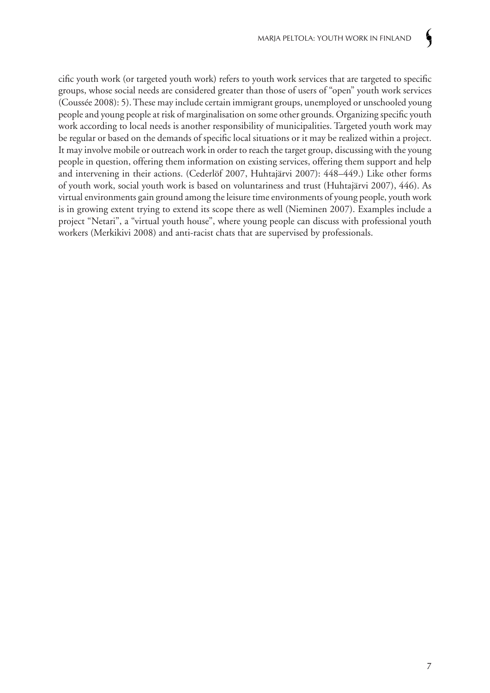cific youth work (or targeted youth work) refers to youth work services that are targeted to specific groups, whose social needs are considered greater than those of users of "open" youth work services (Coussée 2008): 5). These may include certain immigrant groups, unemployed or unschooled young people and young people at risk of marginalisation on some other grounds. Organizing specific youth work according to local needs is another responsibility of municipalities. Targeted youth work may be regular or based on the demands of specific local situations or it may be realized within a project. It may involve mobile or outreach work in order to reach the target group, discussing with the young people in question, offering them information on existing services, offering them support and help and intervening in their actions. (Cederlöf 2007, Huhtajärvi 2007): 448–449.) Like other forms of youth work, social youth work is based on voluntariness and trust (Huhtajärvi 2007), 446). As virtual environments gain ground among the leisure time environments of young people, youth work is in growing extent trying to extend its scope there as well (Nieminen 2007). Examples include a project "Netari", a "virtual youth house", where young people can discuss with professional youth workers (Merkikivi 2008) and anti-racist chats that are supervised by professionals.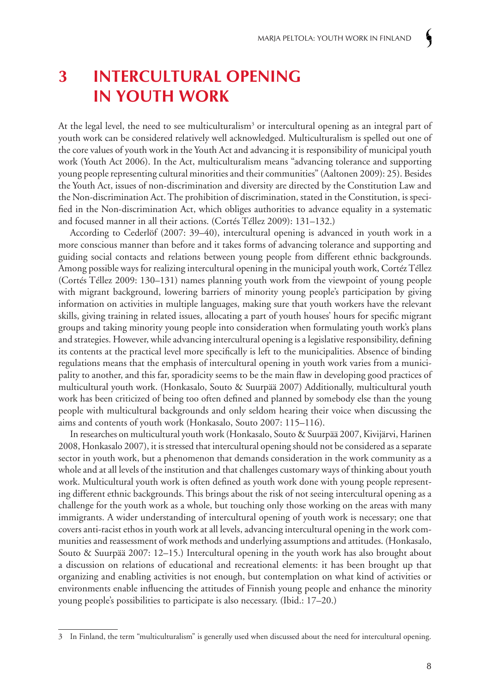# **3 Intercultural opening in youth work**

At the legal level, the need to see multiculturalism<sup>3</sup> or intercultural opening as an integral part of youth work can be considered relatively well acknowledged. Multiculturalism is spelled out one of the core values of youth work in the Youth Act and advancing it is responsibility of municipal youth work (Youth Act 2006). In the Act, multiculturalism means "advancing tolerance and supporting young people representing cultural minorities and their communities" (Aaltonen 2009): 25). Besides the Youth Act, issues of non-discrimination and diversity are directed by the Constitution Law and the Non-discrimination Act. The prohibition of discrimination, stated in the Constitution, is specified in the Non-discrimination Act, which obliges authorities to advance equality in a systematic and focused manner in all their actions. (Cortés Téllez 2009): 131–132.)

According to Cederlöf (2007: 39–40), intercultural opening is advanced in youth work in a more conscious manner than before and it takes forms of advancing tolerance and supporting and guiding social contacts and relations between young people from different ethnic backgrounds. Among possible ways for realizing intercultural opening in the municipal youth work, Cortéz Téllez (Cortés Téllez 2009: 130–131) names planning youth work from the viewpoint of young people with migrant background, lowering barriers of minority young people's participation by giving information on activities in multiple languages, making sure that youth workers have the relevant skills, giving training in related issues, allocating a part of youth houses' hours for specific migrant groups and taking minority young people into consideration when formulating youth work's plans and strategies. However, while advancing intercultural opening is a legislative responsibility, defining its contents at the practical level more specifically is left to the municipalities. Absence of binding regulations means that the emphasis of intercultural opening in youth work varies from a municipality to another, and this far, sporadicity seems to be the main flaw in developing good practices of multicultural youth work. (Honkasalo, Souto & Suurpää 2007) Additionally, multicultural youth work has been criticized of being too often defined and planned by somebody else than the young people with multicultural backgrounds and only seldom hearing their voice when discussing the aims and contents of youth work (Honkasalo, Souto 2007: 115–116).

In researches on multicultural youth work (Honkasalo, Souto & Suurpää 2007, Kivijärvi, Harinen 2008, Honkasalo 2007), it is stressed that intercultural opening should not be considered as a separate sector in youth work, but a phenomenon that demands consideration in the work community as a whole and at all levels of the institution and that challenges customary ways of thinking about youth work. Multicultural youth work is often defined as youth work done with young people representing different ethnic backgrounds. This brings about the risk of not seeing intercultural opening as a challenge for the youth work as a whole, but touching only those working on the areas with many immigrants. A wider understanding of intercultural opening of youth work is necessary; one that covers anti-racist ethos in youth work at all levels, advancing intercultural opening in the work communities and reassessment of work methods and underlying assumptions and attitudes. (Honkasalo, Souto & Suurpää 2007: 12–15.) Intercultural opening in the youth work has also brought about a discussion on relations of educational and recreational elements: it has been brought up that organizing and enabling activities is not enough, but contemplation on what kind of activities or environments enable influencing the attitudes of Finnish young people and enhance the minority young people's possibilities to participate is also necessary. (Ibid.: 17–20.)

<sup>3</sup> In Finland, the term "multiculturalism" is generally used when discussed about the need for intercultural opening.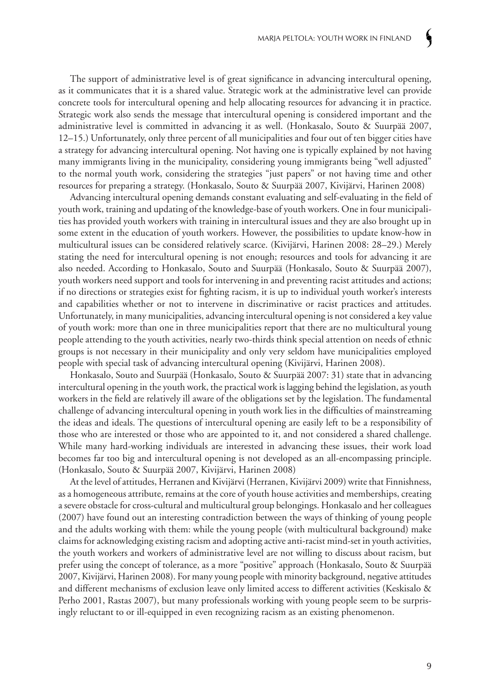The support of administrative level is of great significance in advancing intercultural opening, as it communicates that it is a shared value. Strategic work at the administrative level can provide concrete tools for intercultural opening and help allocating resources for advancing it in practice. Strategic work also sends the message that intercultural opening is considered important and the administrative level is committed in advancing it as well. (Honkasalo, Souto & Suurpää 2007, 12–15.) Unfortunately, only three percent of all municipalities and four out of ten bigger cities have a strategy for advancing intercultural opening. Not having one is typically explained by not having many immigrants living in the municipality, considering young immigrants being "well adjusted" to the normal youth work, considering the strategies "just papers" or not having time and other resources for preparing a strategy. (Honkasalo, Souto & Suurpää 2007, Kivijärvi, Harinen 2008)

Advancing intercultural opening demands constant evaluating and self-evaluating in the field of youth work, training and updating of the knowledge-base of youth workers. One in four municipalities has provided youth workers with training in intercultural issues and they are also brought up in some extent in the education of youth workers. However, the possibilities to update know-how in multicultural issues can be considered relatively scarce. (Kivijärvi, Harinen 2008: 28–29.) Merely stating the need for intercultural opening is not enough; resources and tools for advancing it are also needed. According to Honkasalo, Souto and Suurpää (Honkasalo, Souto & Suurpää 2007), youth workers need support and tools for intervening in and preventing racist attitudes and actions; if no directions or strategies exist for fighting racism, it is up to individual youth worker's interests and capabilities whether or not to intervene in discriminative or racist practices and attitudes. Unfortunately, in many municipalities, advancing intercultural opening is not considered a key value of youth work: more than one in three municipalities report that there are no multicultural young people attending to the youth activities, nearly two-thirds think special attention on needs of ethnic groups is not necessary in their municipality and only very seldom have municipalities employed people with special task of advancing intercultural opening (Kivijärvi, Harinen 2008).

Honkasalo, Souto and Suurpää (Honkasalo, Souto & Suurpää 2007: 31) state that in advancing intercultural opening in the youth work, the practical work is lagging behind the legislation, as youth workers in the field are relatively ill aware of the obligations set by the legislation. The fundamental challenge of advancing intercultural opening in youth work lies in the difficulties of mainstreaming the ideas and ideals. The questions of intercultural opening are easily left to be a responsibility of those who are interested or those who are appointed to it, and not considered a shared challenge. While many hard-working individuals are interested in advancing these issues, their work load becomes far too big and intercultural opening is not developed as an all-encompassing principle. (Honkasalo, Souto & Suurpää 2007, Kivijärvi, Harinen 2008)

At the level of attitudes, Herranen and Kivijärvi (Herranen, Kivijärvi 2009) write that Finnishness, as a homogeneous attribute, remains at the core of youth house activities and memberships, creating a severe obstacle for cross-cultural and multicultural group belongings. Honkasalo and her colleagues (2007) have found out an interesting contradiction between the ways of thinking of young people and the adults working with them: while the young people (with multicultural background) make claims for acknowledging existing racism and adopting active anti-racist mind-set in youth activities, the youth workers and workers of administrative level are not willing to discuss about racism, but prefer using the concept of tolerance, as a more "positive" approach (Honkasalo, Souto & Suurpää 2007, Kivijärvi, Harinen 2008). For many young people with minority background, negative attitudes and different mechanisms of exclusion leave only limited access to different activities (Keskisalo & Perho 2001, Rastas 2007), but many professionals working with young people seem to be surprisingly reluctant to or ill-equipped in even recognizing racism as an existing phenomenon.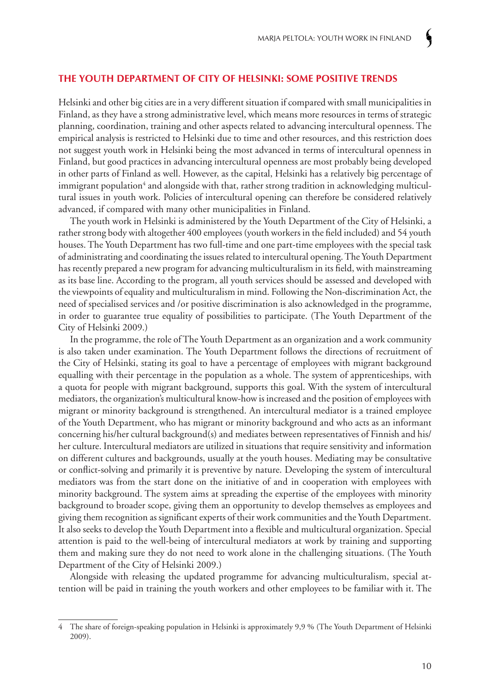#### **The Youth Department of City of Helsinki: some positive trends**

Helsinki and other big cities are in a very different situation if compared with small municipalities in Finland, as they have a strong administrative level, which means more resources in terms of strategic planning, coordination, training and other aspects related to advancing intercultural openness. The empirical analysis is restricted to Helsinki due to time and other resources, and this restriction does not suggest youth work in Helsinki being the most advanced in terms of intercultural openness in Finland, but good practices in advancing intercultural openness are most probably being developed in other parts of Finland as well. However, as the capital, Helsinki has a relatively big percentage of immigrant population<sup>4</sup> and alongside with that, rather strong tradition in acknowledging multicultural issues in youth work. Policies of intercultural opening can therefore be considered relatively advanced, if compared with many other municipalities in Finland.

The youth work in Helsinki is administered by the Youth Department of the City of Helsinki, a rather strong body with altogether 400 employees (youth workers in the field included) and 54 youth houses. The Youth Department has two full-time and one part-time employees with the special task of administrating and coordinating the issues related to intercultural opening. The Youth Department has recently prepared a new program for advancing multiculturalism in its field, with mainstreaming as its base line. According to the program, all youth services should be assessed and developed with the viewpoints of equality and multiculturalism in mind. Following the Non-discrimination Act, the need of specialised services and /or positive discrimination is also acknowledged in the programme, in order to guarantee true equality of possibilities to participate. (The Youth Department of the City of Helsinki 2009.)

In the programme, the role of The Youth Department as an organization and a work community is also taken under examination. The Youth Department follows the directions of recruitment of the City of Helsinki, stating its goal to have a percentage of employees with migrant background equalling with their percentage in the population as a whole. The system of apprenticeships, with a quota for people with migrant background, supports this goal. With the system of intercultural mediators, the organization's multicultural know-how is increased and the position of employees with migrant or minority background is strengthened. An intercultural mediator is a trained employee of the Youth Department, who has migrant or minority background and who acts as an informant concerning his/her cultural background(s) and mediates between representatives of Finnish and his/ her culture. Intercultural mediators are utilized in situations that require sensitivity and information on different cultures and backgrounds, usually at the youth houses. Mediating may be consultative or conflict-solving and primarily it is preventive by nature. Developing the system of intercultural mediators was from the start done on the initiative of and in cooperation with employees with minority background. The system aims at spreading the expertise of the employees with minority background to broader scope, giving them an opportunity to develop themselves as employees and giving them recognition as significant experts of their work communities and the Youth Department. It also seeks to develop the Youth Department into a flexible and multicultural organization. Special attention is paid to the well-being of intercultural mediators at work by training and supporting them and making sure they do not need to work alone in the challenging situations. (The Youth Department of the City of Helsinki 2009.)

Alongside with releasing the updated programme for advancing multiculturalism, special attention will be paid in training the youth workers and other employees to be familiar with it. The

<sup>4</sup> The share of foreign-speaking population in Helsinki is approximately 9,9 % (The Youth Department of Helsinki 2009).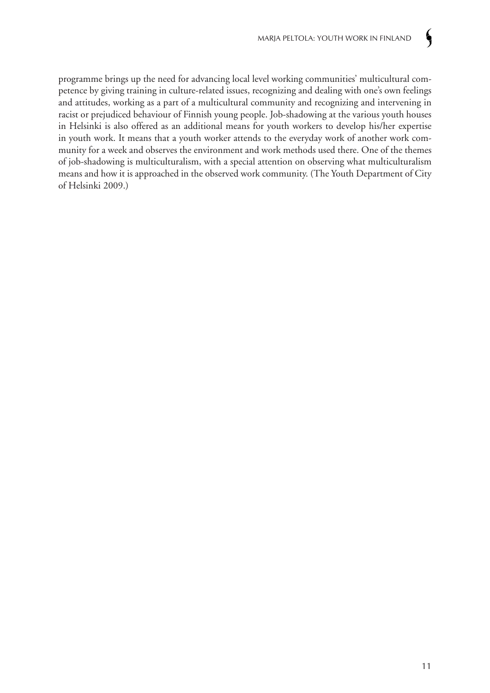programme brings up the need for advancing local level working communities' multicultural competence by giving training in culture-related issues, recognizing and dealing with one's own feelings and attitudes, working as a part of a multicultural community and recognizing and intervening in racist or prejudiced behaviour of Finnish young people. Job-shadowing at the various youth houses in Helsinki is also offered as an additional means for youth workers to develop his/her expertise in youth work. It means that a youth worker attends to the everyday work of another work community for a week and observes the environment and work methods used there. One of the themes of job-shadowing is multiculturalism, with a special attention on observing what multiculturalism means and how it is approached in the observed work community. (The Youth Department of City of Helsinki 2009.)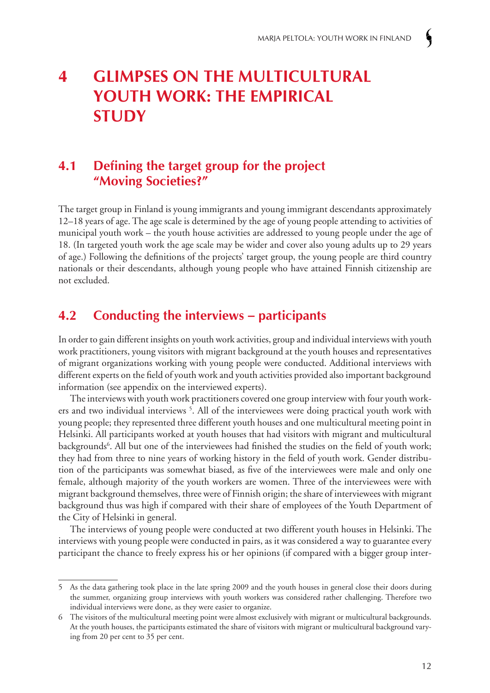# **4 Glimpses on the multicultural youth work: the empirical study**

## **4.1 Defining the target group for the project "Moving Societies?"**

The target group in Finland is young immigrants and young immigrant descendants approximately 12–18 years of age. The age scale is determined by the age of young people attending to activities of municipal youth work – the youth house activities are addressed to young people under the age of 18. (In targeted youth work the age scale may be wider and cover also young adults up to 29 years of age.) Following the definitions of the projects' target group, the young people are third country nationals or their descendants, although young people who have attained Finnish citizenship are not excluded.

## **4.2 Conducting the interviews – participants**

In order to gain different insights on youth work activities, group and individual interviews with youth work practitioners, young visitors with migrant background at the youth houses and representatives of migrant organizations working with young people were conducted. Additional interviews with different experts on the field of youth work and youth activities provided also important background information (see appendix on the interviewed experts).

The interviews with youth work practitioners covered one group interview with four youth workers and two individual interviews<sup>5</sup>. All of the interviewees were doing practical youth work with young people; they represented three different youth houses and one multicultural meeting point in Helsinki. All participants worked at youth houses that had visitors with migrant and multicultural backgrounds<sup>6</sup>. All but one of the interviewees had finished the studies on the field of youth work; they had from three to nine years of working history in the field of youth work. Gender distribution of the participants was somewhat biased, as five of the interviewees were male and only one female, although majority of the youth workers are women. Three of the interviewees were with migrant background themselves, three were of Finnish origin; the share of interviewees with migrant background thus was high if compared with their share of employees of the Youth Department of the City of Helsinki in general.

The interviews of young people were conducted at two different youth houses in Helsinki. The interviews with young people were conducted in pairs, as it was considered a way to guarantee every participant the chance to freely express his or her opinions (if compared with a bigger group inter-

<sup>5</sup> As the data gathering took place in the late spring 2009 and the youth houses in general close their doors during the summer, organizing group interviews with youth workers was considered rather challenging. Therefore two individual interviews were done, as they were easier to organize.

<sup>6</sup> The visitors of the multicultural meeting point were almost exclusively with migrant or multicultural backgrounds. At the youth houses, the participants estimated the share of visitors with migrant or multicultural background varying from 20 per cent to 35 per cent.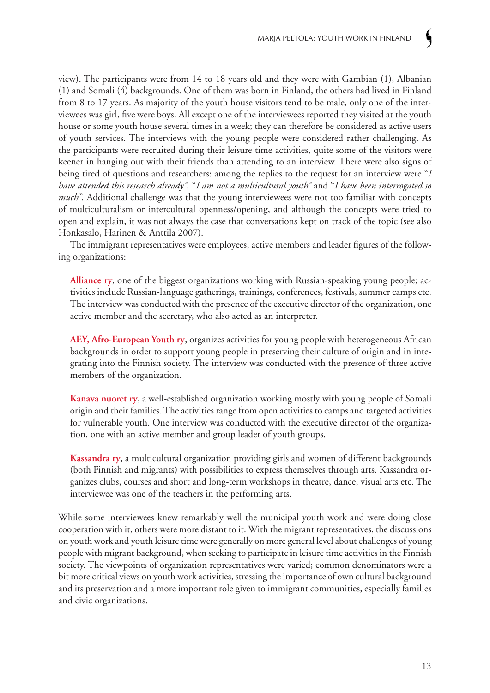view). The participants were from 14 to 18 years old and they were with Gambian (1), Albanian (1) and Somali (4) backgrounds. One of them was born in Finland, the others had lived in Finland from 8 to 17 years. As majority of the youth house visitors tend to be male, only one of the interviewees was girl, five were boys. All except one of the interviewees reported they visited at the youth house or some youth house several times in a week; they can therefore be considered as active users of youth services. The interviews with the young people were considered rather challenging. As the participants were recruited during their leisure time activities, quite some of the visitors were keener in hanging out with their friends than attending to an interview. There were also signs of being tired of questions and researchers: among the replies to the request for an interview were "*I have attended this research already",* "*I am not a multicultural youth"* and "*I have been interrogated so much*". Additional challenge was that the young interviewees were not too familiar with concepts of multiculturalism or intercultural openness/opening, and although the concepts were tried to open and explain, it was not always the case that conversations kept on track of the topic (see also Honkasalo, Harinen & Anttila 2007).

The immigrant representatives were employees, active members and leader figures of the following organizations:

**Alliance ry**, one of the biggest organizations working with Russian-speaking young people; activities include Russian-language gatherings, trainings, conferences, festivals, summer camps etc. The interview was conducted with the presence of the executive director of the organization, one active member and the secretary, who also acted as an interpreter.

**AEY, Afro-European Youth ry**, organizes activities for young people with heterogeneous African backgrounds in order to support young people in preserving their culture of origin and in integrating into the Finnish society. The interview was conducted with the presence of three active members of the organization.

**Kanava nuoret ry**, a well-established organization working mostly with young people of Somali origin and their families. The activities range from open activities to camps and targeted activities for vulnerable youth. One interview was conducted with the executive director of the organization, one with an active member and group leader of youth groups.

**Kassandra ry**, a multicultural organization providing girls and women of different backgrounds (both Finnish and migrants) with possibilities to express themselves through arts. Kassandra organizes clubs, courses and short and long-term workshops in theatre, dance, visual arts etc. The interviewee was one of the teachers in the performing arts.

While some interviewees knew remarkably well the municipal youth work and were doing close cooperation with it, others were more distant to it. With the migrant representatives, the discussions on youth work and youth leisure time were generally on more general level about challenges of young people with migrant background, when seeking to participate in leisure time activities in the Finnish society. The viewpoints of organization representatives were varied; common denominators were a bit more critical views on youth work activities, stressing the importance of own cultural background and its preservation and a more important role given to immigrant communities, especially families and civic organizations.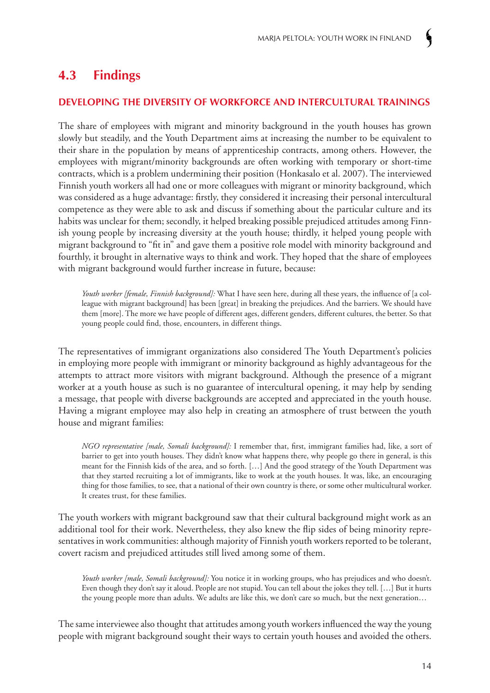# **4.3 Findings**

### **Developing the diversity of workforce and intercultural trainings**

The share of employees with migrant and minority background in the youth houses has grown slowly but steadily, and the Youth Department aims at increasing the number to be equivalent to their share in the population by means of apprenticeship contracts, among others. However, the employees with migrant/minority backgrounds are often working with temporary or short-time contracts, which is a problem undermining their position (Honkasalo et al. 2007). The interviewed Finnish youth workers all had one or more colleagues with migrant or minority background, which was considered as a huge advantage: firstly, they considered it increasing their personal intercultural competence as they were able to ask and discuss if something about the particular culture and its habits was unclear for them; secondly, it helped breaking possible prejudiced attitudes among Finnish young people by increasing diversity at the youth house; thirdly, it helped young people with migrant background to "fit in" and gave them a positive role model with minority background and fourthly, it brought in alternative ways to think and work. They hoped that the share of employees with migrant background would further increase in future, because:

*Youth worker [female, Finnish background]:* What I have seen here, during all these years, the influence of [a colleague with migrant background] has been [great] in breaking the prejudices. And the barriers. We should have them [more]. The more we have people of different ages, different genders, different cultures, the better. So that young people could find, those, encounters, in different things.

The representatives of immigrant organizations also considered The Youth Department's policies in employing more people with immigrant or minority background as highly advantageous for the attempts to attract more visitors with migrant background. Although the presence of a migrant worker at a youth house as such is no guarantee of intercultural opening, it may help by sending a message, that people with diverse backgrounds are accepted and appreciated in the youth house. Having a migrant employee may also help in creating an atmosphere of trust between the youth house and migrant families:

*NGO representative [male, Somali background]:* I remember that, first, immigrant families had, like, a sort of barrier to get into youth houses. They didn't know what happens there, why people go there in general, is this meant for the Finnish kids of the area, and so forth. […] And the good strategy of the Youth Department was that they started recruiting a lot of immigrants, like to work at the youth houses. It was, like, an encouraging thing for those families, to see, that a national of their own country is there, or some other multicultural worker. It creates trust, for these families.

The youth workers with migrant background saw that their cultural background might work as an additional tool for their work. Nevertheless, they also knew the flip sides of being minority representatives in work communities: although majority of Finnish youth workers reported to be tolerant, covert racism and prejudiced attitudes still lived among some of them.

*Youth worker [male, Somali background]:* You notice it in working groups, who has prejudices and who doesn't. Even though they don't say it aloud. People are not stupid. You can tell about the jokes they tell. […] But it hurts the young people more than adults. We adults are like this, we don't care so much, but the next generation…

The same interviewee also thought that attitudes among youth workers influenced the way the young people with migrant background sought their ways to certain youth houses and avoided the others.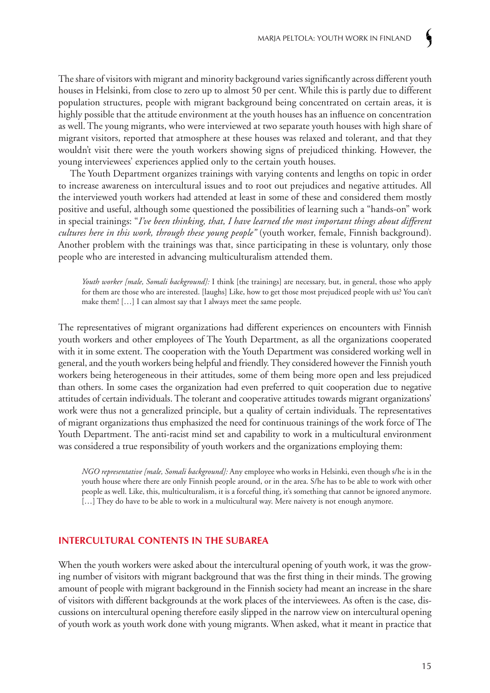The share of visitors with migrant and minority background varies significantly across different youth houses in Helsinki, from close to zero up to almost 50 per cent. While this is partly due to different population structures, people with migrant background being concentrated on certain areas, it is highly possible that the attitude environment at the youth houses has an influence on concentration as well. The young migrants, who were interviewed at two separate youth houses with high share of migrant visitors, reported that atmosphere at these houses was relaxed and tolerant, and that they wouldn't visit there were the youth workers showing signs of prejudiced thinking. However, the young interviewees' experiences applied only to the certain youth houses.

The Youth Department organizes trainings with varying contents and lengths on topic in order to increase awareness on intercultural issues and to root out prejudices and negative attitudes. All the interviewed youth workers had attended at least in some of these and considered them mostly positive and useful, although some questioned the possibilities of learning such a "hands-on" work in special trainings: "*I've been thinking, that, I have learned the most important things about different cultures here in this work, through these young people"* (youth worker, female, Finnish background). Another problem with the trainings was that, since participating in these is voluntary, only those people who are interested in advancing multiculturalism attended them.

*Youth worker [male, Somali background]:* I think [the trainings] are necessary, but, in general, those who apply for them are those who are interested. [laughs] Like, how to get those most prejudiced people with us? You can't make them! […] I can almost say that I always meet the same people.

The representatives of migrant organizations had different experiences on encounters with Finnish youth workers and other employees of The Youth Department, as all the organizations cooperated with it in some extent. The cooperation with the Youth Department was considered working well in general, and the youth workers being helpful and friendly. They considered however the Finnish youth workers being heterogeneous in their attitudes, some of them being more open and less prejudiced than others. In some cases the organization had even preferred to quit cooperation due to negative attitudes of certain individuals. The tolerant and cooperative attitudes towards migrant organizations' work were thus not a generalized principle, but a quality of certain individuals. The representatives of migrant organizations thus emphasized the need for continuous trainings of the work force of The Youth Department. The anti-racist mind set and capability to work in a multicultural environment was considered a true responsibility of youth workers and the organizations employing them:

*NGO representative [male, Somali background]:* Any employee who works in Helsinki, even though s/he is in the youth house where there are only Finnish people around, or in the area. S/he has to be able to work with other people as well. Like, this, multiculturalism, it is a forceful thing, it's something that cannot be ignored anymore. [...] They do have to be able to work in a multicultural way. Mere naivety is not enough anymore.

#### **Intercultural contents in the subarea**

When the youth workers were asked about the intercultural opening of youth work, it was the growing number of visitors with migrant background that was the first thing in their minds. The growing amount of people with migrant background in the Finnish society had meant an increase in the share of visitors with different backgrounds at the work places of the interviewees. As often is the case, discussions on intercultural opening therefore easily slipped in the narrow view on intercultural opening of youth work as youth work done with young migrants. When asked, what it meant in practice that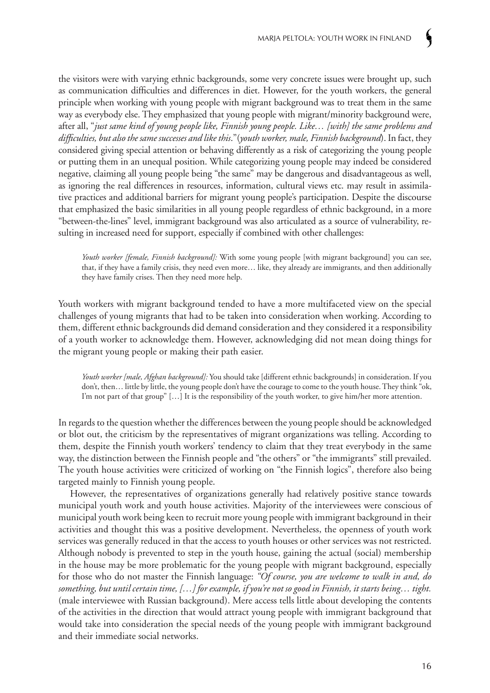the visitors were with varying ethnic backgrounds, some very concrete issues were brought up, such as communication difficulties and differences in diet. However, for the youth workers, the general principle when working with young people with migrant background was to treat them in the same way as everybody else. They emphasized that young people with migrant/minority background were, after all, "*just same kind of young people like, Finnish young people. Like… [with] the same problems and difficulties, but also the same successes and like this*."(*youth worker, male, Finnish background*). In fact, they considered giving special attention or behaving differently as a risk of categorizing the young people or putting them in an unequal position. While categorizing young people may indeed be considered negative, claiming all young people being "the same" may be dangerous and disadvantageous as well, as ignoring the real differences in resources, information, cultural views etc. may result in assimilative practices and additional barriers for migrant young people's participation. Despite the discourse that emphasized the basic similarities in all young people regardless of ethnic background, in a more "between-the-lines" level, immigrant background was also articulated as a source of vulnerability, resulting in increased need for support, especially if combined with other challenges:

*Youth worker [female, Finnish background]:* With some young people [with migrant background] you can see, that, if they have a family crisis, they need even more… like, they already are immigrants, and then additionally they have family crises. Then they need more help.

Youth workers with migrant background tended to have a more multifaceted view on the special challenges of young migrants that had to be taken into consideration when working. According to them, different ethnic backgrounds did demand consideration and they considered it a responsibility of a youth worker to acknowledge them. However, acknowledging did not mean doing things for the migrant young people or making their path easier.

*Youth worker [male, Afghan background]:* You should take [different ethnic backgrounds] in consideration. If you don't, then… little by little, the young people don't have the courage to come to the youth house. They think "ok, I'm not part of that group" […] It is the responsibility of the youth worker, to give him/her more attention.

In regards to the question whether the differences between the young people should be acknowledged or blot out, the criticism by the representatives of migrant organizations was telling. According to them, despite the Finnish youth workers' tendency to claim that they treat everybody in the same way, the distinction between the Finnish people and "the others" or "the immigrants" still prevailed. The youth house activities were criticized of working on "the Finnish logics", therefore also being targeted mainly to Finnish young people.

However, the representatives of organizations generally had relatively positive stance towards municipal youth work and youth house activities. Majority of the interviewees were conscious of municipal youth work being keen to recruit more young people with immigrant background in their activities and thought this was a positive development. Nevertheless, the openness of youth work services was generally reduced in that the access to youth houses or other services was not restricted. Although nobody is prevented to step in the youth house, gaining the actual (social) membership in the house may be more problematic for the young people with migrant background, especially for those who do not master the Finnish language: *"Of course, you are welcome to walk in and, do something, but until certain time, […] for example, if you're not so good in Finnish, it starts being… tight.* (male interviewee with Russian background). Mere access tells little about developing the contents of the activities in the direction that would attract young people with immigrant background that would take into consideration the special needs of the young people with immigrant background and their immediate social networks.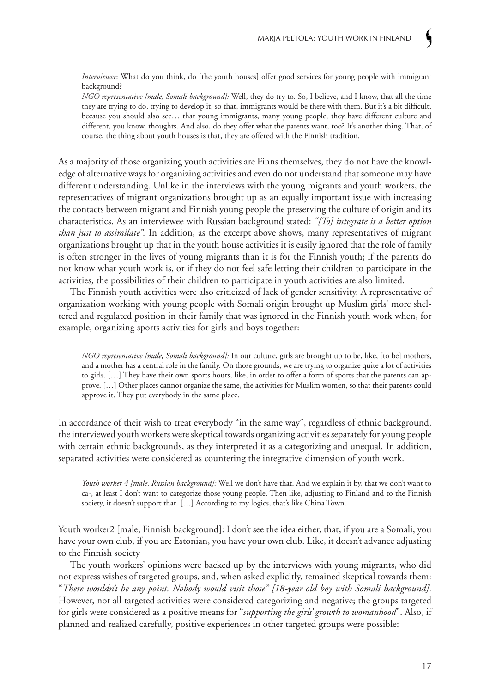*Interviewer*: What do you think, do [the youth houses] offer good services for young people with immigrant background?

*NGO representative [male, Somali background]:* Well, they do try to. So, I believe, and I know, that all the time they are trying to do, trying to develop it, so that, immigrants would be there with them. But it's a bit difficult, because you should also see… that young immigrants, many young people, they have different culture and different, you know, thoughts. And also, do they offer what the parents want, too? It's another thing. That, of course, the thing about youth houses is that, they are offered with the Finnish tradition.

As a majority of those organizing youth activities are Finns themselves, they do not have the knowledge of alternative ways for organizing activities and even do not understand that someone may have different understanding. Unlike in the interviews with the young migrants and youth workers, the representatives of migrant organizations brought up as an equally important issue with increasing the contacts between migrant and Finnish young people the preserving the culture of origin and its characteristics. As an interviewee with Russian background stated: *"[To] integrate is a better option than just to assimilate".* In addition, as the excerpt above shows, many representatives of migrant organizations brought up that in the youth house activities it is easily ignored that the role of family is often stronger in the lives of young migrants than it is for the Finnish youth; if the parents do not know what youth work is, or if they do not feel safe letting their children to participate in the activities, the possibilities of their children to participate in youth activities are also limited.

The Finnish youth activities were also criticized of lack of gender sensitivity. A representative of organization working with young people with Somali origin brought up Muslim girls' more sheltered and regulated position in their family that was ignored in the Finnish youth work when, for example, organizing sports activities for girls and boys together:

*NGO representative [male, Somali background]:* In our culture, girls are brought up to be, like, [to be] mothers, and a mother has a central role in the family. On those grounds, we are trying to organize quite a lot of activities to girls. […] They have their own sports hours, like, in order to offer a form of sports that the parents can approve. […] Other places cannot organize the same, the activities for Muslim women, so that their parents could approve it. They put everybody in the same place.

In accordance of their wish to treat everybody "in the same way", regardless of ethnic background, the interviewed youth workers were skeptical towards organizing activities separately for young people with certain ethnic backgrounds, as they interpreted it as a categorizing and unequal. In addition, separated activities were considered as countering the integrative dimension of youth work.

*Youth worker 4 [male, Russian background]:* Well we don't have that. And we explain it by, that we don't want to ca-, at least I don't want to categorize those young people. Then like, adjusting to Finland and to the Finnish society, it doesn't support that. […] According to my logics, that's like China Town.

Youth worker2 [male, Finnish background]: I don't see the idea either, that, if you are a Somali, you have your own club, if you are Estonian, you have your own club. Like, it doesn't advance adjusting to the Finnish society

The youth workers' opinions were backed up by the interviews with young migrants, who did not express wishes of targeted groups, and, when asked explicitly, remained skeptical towards them: "*There wouldn't be any point. Nobody would visit those" [18-year old boy with Somali background]*. However, not all targeted activities were considered categorizing and negative; the groups targeted for girls were considered as a positive means for "*supporting the girls' growth to womanhood*". Also, if planned and realized carefully, positive experiences in other targeted groups were possible: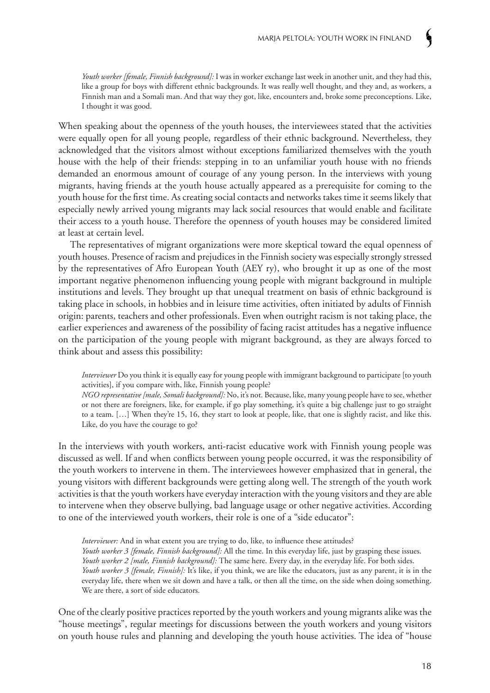*Youth worker [female, Finnish background]:* I was in worker exchange last week in another unit, and they had this, like a group for boys with different ethnic backgrounds. It was really well thought, and they and, as workers, a Finnish man and a Somali man. And that way they got, like, encounters and, broke some preconceptions. Like, I thought it was good.

When speaking about the openness of the youth houses, the interviewees stated that the activities were equally open for all young people, regardless of their ethnic background. Nevertheless, they acknowledged that the visitors almost without exceptions familiarized themselves with the youth house with the help of their friends: stepping in to an unfamiliar youth house with no friends demanded an enormous amount of courage of any young person. In the interviews with young migrants, having friends at the youth house actually appeared as a prerequisite for coming to the youth house for the first time. As creating social contacts and networks takes time it seems likely that especially newly arrived young migrants may lack social resources that would enable and facilitate their access to a youth house. Therefore the openness of youth houses may be considered limited at least at certain level.

The representatives of migrant organizations were more skeptical toward the equal openness of youth houses. Presence of racism and prejudices in the Finnish society was especially strongly stressed by the representatives of Afro European Youth (AEY ry), who brought it up as one of the most important negative phenomenon influencing young people with migrant background in multiple institutions and levels. They brought up that unequal treatment on basis of ethnic background is taking place in schools, in hobbies and in leisure time activities, often initiated by adults of Finnish origin: parents, teachers and other professionals. Even when outright racism is not taking place, the earlier experiences and awareness of the possibility of facing racist attitudes has a negative influence on the participation of the young people with migrant background, as they are always forced to think about and assess this possibility:

*Interviewer* Do you think it is equally easy for young people with immigrant background to participate [to youth activities], if you compare with, like, Finnish young people?

*NGO representative [male, Somali background]:* No, it's not. Because, like, many young people have to see, whether or not there are foreigners, like, for example, if go play something, it's quite a big challenge just to go straight to a team. […] When they're 15, 16, they start to look at people, like, that one is slightly racist, and like this. Like, do you have the courage to go?

In the interviews with youth workers, anti-racist educative work with Finnish young people was discussed as well. If and when conflicts between young people occurred, it was the responsibility of the youth workers to intervene in them. The interviewees however emphasized that in general, the young visitors with different backgrounds were getting along well. The strength of the youth work activities is that the youth workers have everyday interaction with the young visitors and they are able to intervene when they observe bullying, bad language usage or other negative activities. According to one of the interviewed youth workers, their role is one of a "side educator":

*Interviewer:* And in what extent you are trying to do, like, to influence these attitudes? *Youth worker 3 [female, Finnish background]:* All the time. In this everyday life, just by grasping these issues. *Youth worker 2 [male, Finnish background]:* The same here. Every day, in the everyday life. For both sides. *Youth worker 3 [female, Finnish]:* It's like, if you think, we are like the educators, just as any parent, it is in the everyday life, there when we sit down and have a talk, or then all the time, on the side when doing something. We are there, a sort of side educators.

One of the clearly positive practices reported by the youth workers and young migrants alike was the "house meetings", regular meetings for discussions between the youth workers and young visitors on youth house rules and planning and developing the youth house activities. The idea of "house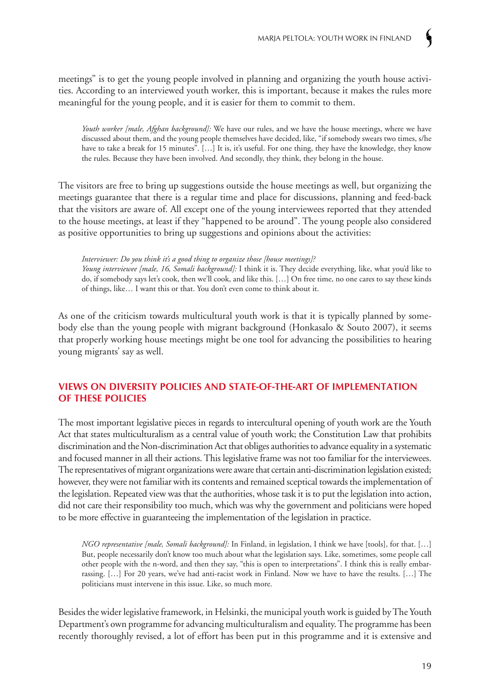meetings" is to get the young people involved in planning and organizing the youth house activities. According to an interviewed youth worker, this is important, because it makes the rules more meaningful for the young people, and it is easier for them to commit to them.

*Youth worker [male, Afghan background]:* We have our rules, and we have the house meetings, where we have discussed about them, and the young people themselves have decided, like, "if somebody swears two times, s/he have to take a break for 15 minutes". [...] It is, it's useful. For one thing, they have the knowledge, they know the rules. Because they have been involved. And secondly, they think, they belong in the house.

The visitors are free to bring up suggestions outside the house meetings as well, but organizing the meetings guarantee that there is a regular time and place for discussions, planning and feed-back that the visitors are aware of. All except one of the young interviewees reported that they attended to the house meetings, at least if they "happened to be around". The young people also considered as positive opportunities to bring up suggestions and opinions about the activities:

*Interviewer: Do you think it's a good thing to organize those [house meetings]?*

*Young interviewee [male, 16, Somali background]:* I think it is. They decide everything, like, what you'd like to do, if somebody says let's cook, then we'll cook, and like this. […] On free time, no one cares to say these kinds of things, like… I want this or that. You don't even come to think about it.

As one of the criticism towards multicultural youth work is that it is typically planned by somebody else than the young people with migrant background (Honkasalo & Souto 2007), it seems that properly working house meetings might be one tool for advancing the possibilities to hearing young migrants' say as well.

#### **Views on diversity policies and state-of-the-art of implementation of these policies**

The most important legislative pieces in regards to intercultural opening of youth work are the Youth Act that states multiculturalism as a central value of youth work; the Constitution Law that prohibits discrimination and the Non-discrimination Act that obliges authorities to advance equality in a systematic and focused manner in all their actions. This legislative frame was not too familiar for the interviewees. The representatives of migrant organizations were aware that certain anti-discrimination legislation existed; however, they were not familiar with its contents and remained sceptical towards the implementation of the legislation. Repeated view was that the authorities, whose task it is to put the legislation into action, did not care their responsibility too much, which was why the government and politicians were hoped to be more effective in guaranteeing the implementation of the legislation in practice.

*NGO representative [male, Somali background]:* In Finland, in legislation, I think we have [tools], for that. […] But, people necessarily don't know too much about what the legislation says. Like, sometimes, some people call other people with the n-word, and then they say, "this is open to interpretations". I think this is really embarrassing. […] For 20 years, we've had anti-racist work in Finland. Now we have to have the results. […] The politicians must intervene in this issue. Like, so much more.

Besides the wider legislative framework, in Helsinki, the municipal youth work is guided by The Youth Department's own programme for advancing multiculturalism and equality. The programme has been recently thoroughly revised, a lot of effort has been put in this programme and it is extensive and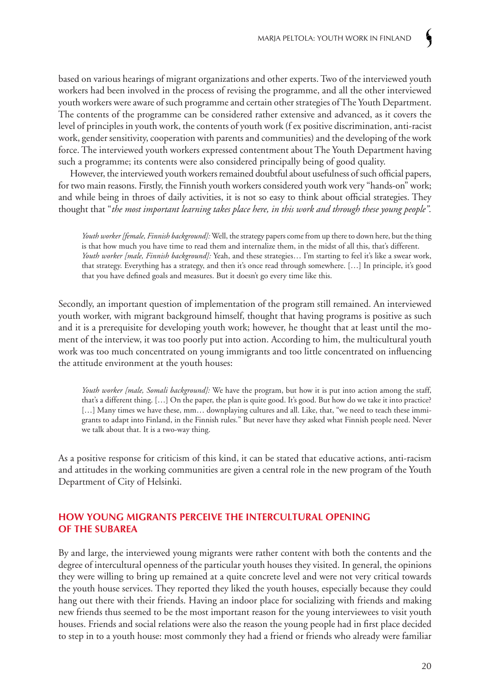based on various hearings of migrant organizations and other experts. Two of the interviewed youth workers had been involved in the process of revising the programme, and all the other interviewed youth workers were aware of such programme and certain other strategies of The Youth Department. The contents of the programme can be considered rather extensive and advanced, as it covers the level of principles in youth work, the contents of youth work (f ex positive discrimination, anti-racist work, gender sensitivity, cooperation with parents and communities) and the developing of the work force. The interviewed youth workers expressed contentment about The Youth Department having such a programme; its contents were also considered principally being of good quality.

However, the interviewed youth workers remained doubtful about usefulness of such official papers, for two main reasons. Firstly, the Finnish youth workers considered youth work very "hands-on" work; and while being in throes of daily activities, it is not so easy to think about official strategies. They thought that "*the most important learning takes place here, in this work and through these young people"*.

*Youth worker [female, Finnish background]:* Well, the strategy papers come from up there to down here, but the thing is that how much you have time to read them and internalize them, in the midst of all this, that's different. *Youth worker [male, Finnish background]:* Yeah, and these strategies… I'm starting to feel it's like a swear work, that strategy. Everything has a strategy, and then it's once read through somewhere. […] In principle, it's good that you have defined goals and measures. But it doesn't go every time like this.

Secondly, an important question of implementation of the program still remained. An interviewed youth worker, with migrant background himself, thought that having programs is positive as such and it is a prerequisite for developing youth work; however, he thought that at least until the moment of the interview, it was too poorly put into action. According to him, the multicultural youth work was too much concentrated on young immigrants and too little concentrated on influencing the attitude environment at the youth houses:

*Youth worker [male, Somali background]:* We have the program, but how it is put into action among the staff, that's a different thing. […] On the paper, the plan is quite good. It's good. But how do we take it into practice? [...] Many times we have these, mm... downplaying cultures and all. Like, that, "we need to teach these immigrants to adapt into Finland, in the Finnish rules." But never have they asked what Finnish people need. Never we talk about that. It is a two-way thing.

As a positive response for criticism of this kind, it can be stated that educative actions, anti-racism and attitudes in the working communities are given a central role in the new program of the Youth Department of City of Helsinki.

#### **How young migrants perceive the intercultural opening of the subarea**

By and large, the interviewed young migrants were rather content with both the contents and the degree of intercultural openness of the particular youth houses they visited. In general, the opinions they were willing to bring up remained at a quite concrete level and were not very critical towards the youth house services. They reported they liked the youth houses, especially because they could hang out there with their friends. Having an indoor place for socializing with friends and making new friends thus seemed to be the most important reason for the young interviewees to visit youth houses. Friends and social relations were also the reason the young people had in first place decided to step in to a youth house: most commonly they had a friend or friends who already were familiar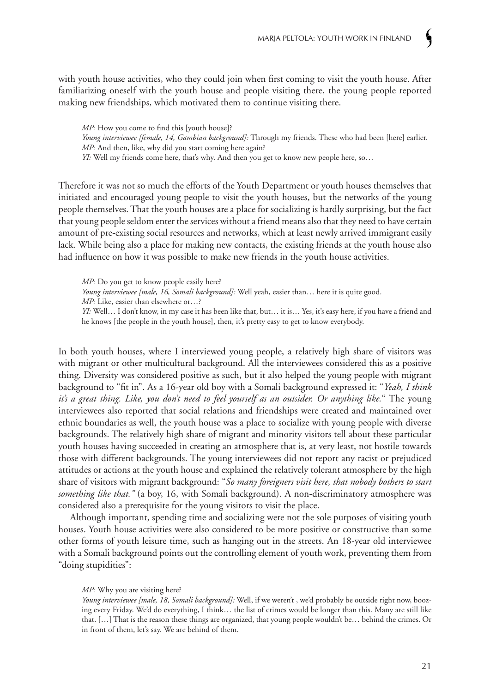with youth house activities, who they could join when first coming to visit the youth house. After familiarizing oneself with the youth house and people visiting there, the young people reported making new friendships, which motivated them to continue visiting there.

*MP*: How you come to find this [youth house]? *Young interviewee [female, 14, Gambian background]:* Through my friends. These who had been [here] earlier. *MP*: And then, like, why did you start coming here again? *YI:* Well my friends come here, that's why. And then you get to know new people here, so...

Therefore it was not so much the efforts of the Youth Department or youth houses themselves that initiated and encouraged young people to visit the youth houses, but the networks of the young people themselves. That the youth houses are a place for socializing is hardly surprising, but the fact that young people seldom enter the services without a friend means also that they need to have certain amount of pre-existing social resources and networks, which at least newly arrived immigrant easily lack. While being also a place for making new contacts, the existing friends at the youth house also had influence on how it was possible to make new friends in the youth house activities.

*MP*: Do you get to know people easily here? *Young interviewee [male, 16, Somali background]:* Well yeah, easier than… here it is quite good. *MP*: Like, easier than elsewhere or...? *YI:* Well… I don't know, in my case it has been like that, but… it is… Yes, it's easy here, if you have a friend and he knows [the people in the youth house], then, it's pretty easy to get to know everybody.

In both youth houses, where I interviewed young people, a relatively high share of visitors was with migrant or other multicultural background. All the interviewees considered this as a positive thing. Diversity was considered positive as such, but it also helped the young people with migrant background to "fit in". As a 16-year old boy with a Somali background expressed it: "*Yeah, I think it's a great thing. Like, you don't need to feel yourself as an outsider. Or anything like.*" The young interviewees also reported that social relations and friendships were created and maintained over ethnic boundaries as well, the youth house was a place to socialize with young people with diverse backgrounds. The relatively high share of migrant and minority visitors tell about these particular youth houses having succeeded in creating an atmosphere that is, at very least, not hostile towards those with different backgrounds. The young interviewees did not report any racist or prejudiced attitudes or actions at the youth house and explained the relatively tolerant atmosphere by the high share of visitors with migrant background: "*So many foreigners visit here, that nobody bothers to start something like that."* (a boy, 16, with Somali background). A non-discriminatory atmosphere was considered also a prerequisite for the young visitors to visit the place.

Although important, spending time and socializing were not the sole purposes of visiting youth houses. Youth house activities were also considered to be more positive or constructive than some other forms of youth leisure time, such as hanging out in the streets. An 18-year old interviewee with a Somali background points out the controlling element of youth work, preventing them from "doing stupidities":

#### *MP*: Why you are visiting here?

*Young interviewee [male, 18, Somali background]:* Well, if we weren't , we'd probably be outside right now, boozing every Friday. We'd do everything, I think… the list of crimes would be longer than this. Many are still like that. […] That is the reason these things are organized, that young people wouldn't be… behind the crimes. Or in front of them, let's say. We are behind of them.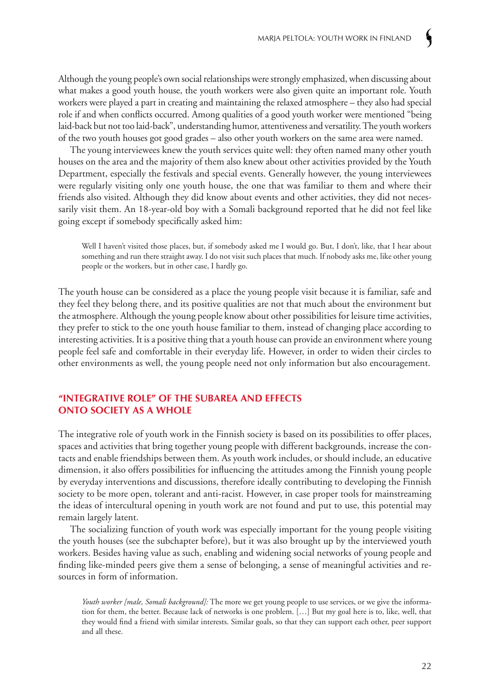Although the young people's own social relationships were strongly emphasized, when discussing about what makes a good youth house, the youth workers were also given quite an important role. Youth workers were played a part in creating and maintaining the relaxed atmosphere – they also had special role if and when conflicts occurred. Among qualities of a good youth worker were mentioned "being laid-back but not too laid-back", understanding humor, attentiveness and versatility. The youth workers of the two youth houses got good grades – also other youth workers on the same area were named.

The young interviewees knew the youth services quite well: they often named many other youth houses on the area and the majority of them also knew about other activities provided by the Youth Department, especially the festivals and special events. Generally however, the young interviewees were regularly visiting only one youth house, the one that was familiar to them and where their friends also visited. Although they did know about events and other activities, they did not necessarily visit them. An 18-year-old boy with a Somali background reported that he did not feel like going except if somebody specifically asked him:

Well I haven't visited those places, but, if somebody asked me I would go. But, I don't, like, that I hear about something and run there straight away. I do not visit such places that much. If nobody asks me, like other young people or the workers, but in other case, I hardly go.

The youth house can be considered as a place the young people visit because it is familiar, safe and they feel they belong there, and its positive qualities are not that much about the environment but the atmosphere. Although the young people know about other possibilities for leisure time activities, they prefer to stick to the one youth house familiar to them, instead of changing place according to interesting activities. It is a positive thing that a youth house can provide an environment where young people feel safe and comfortable in their everyday life. However, in order to widen their circles to other environments as well, the young people need not only information but also encouragement.

#### **"Integrative role" of the subarea and effects onto society as a whole**

The integrative role of youth work in the Finnish society is based on its possibilities to offer places, spaces and activities that bring together young people with different backgrounds, increase the contacts and enable friendships between them. As youth work includes, or should include, an educative dimension, it also offers possibilities for influencing the attitudes among the Finnish young people by everyday interventions and discussions, therefore ideally contributing to developing the Finnish society to be more open, tolerant and anti-racist. However, in case proper tools for mainstreaming the ideas of intercultural opening in youth work are not found and put to use, this potential may remain largely latent.

The socializing function of youth work was especially important for the young people visiting the youth houses (see the subchapter before), but it was also brought up by the interviewed youth workers. Besides having value as such, enabling and widening social networks of young people and finding like-minded peers give them a sense of belonging, a sense of meaningful activities and resources in form of information.

*Youth worker [male, Somali background]:* The more we get young people to use services, or we give the information for them, the better. Because lack of networks is one problem. […] But my goal here is to, like, well, that they would find a friend with similar interests. Similar goals, so that they can support each other, peer support and all these.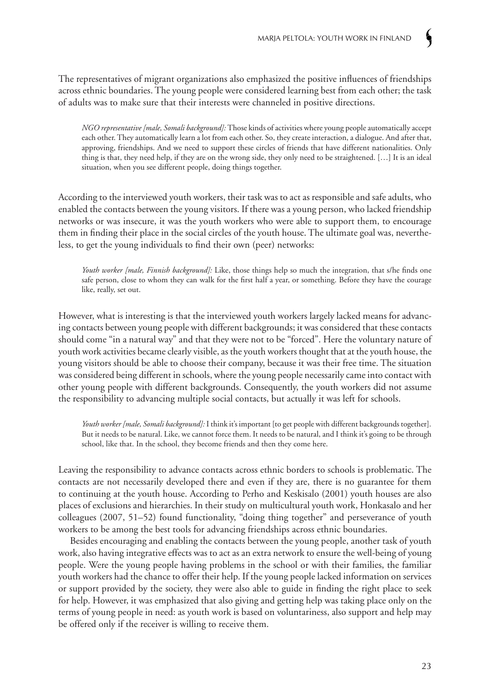The representatives of migrant organizations also emphasized the positive influences of friendships across ethnic boundaries. The young people were considered learning best from each other; the task of adults was to make sure that their interests were channeled in positive directions.

*NGO representative [male, Somali background]:* Those kinds of activities where young people automatically accept each other. They automatically learn a lot from each other. So, they create interaction, a dialogue. And after that, approving, friendships. And we need to support these circles of friends that have different nationalities. Only thing is that, they need help, if they are on the wrong side, they only need to be straightened. […] It is an ideal situation, when you see different people, doing things together.

According to the interviewed youth workers, their task was to act as responsible and safe adults, who enabled the contacts between the young visitors. If there was a young person, who lacked friendship networks or was insecure, it was the youth workers who were able to support them, to encourage them in finding their place in the social circles of the youth house. The ultimate goal was, nevertheless, to get the young individuals to find their own (peer) networks:

*Youth worker [male, Finnish background]:* Like, those things help so much the integration, that s/he finds one safe person, close to whom they can walk for the first half a year, or something. Before they have the courage like, really, set out.

However, what is interesting is that the interviewed youth workers largely lacked means for advancing contacts between young people with different backgrounds; it was considered that these contacts should come "in a natural way" and that they were not to be "forced". Here the voluntary nature of youth work activities became clearly visible, as the youth workers thought that at the youth house, the young visitors should be able to choose their company, because it was their free time. The situation was considered being different in schools, where the young people necessarily came into contact with other young people with different backgrounds. Consequently, the youth workers did not assume the responsibility to advancing multiple social contacts, but actually it was left for schools.

*Youth worker [male, Somali background]:* I think it's important [to get people with different backgrounds together]. But it needs to be natural. Like, we cannot force them. It needs to be natural, and I think it's going to be through school, like that. In the school, they become friends and then they come here.

Leaving the responsibility to advance contacts across ethnic borders to schools is problematic. The contacts are not necessarily developed there and even if they are, there is no guarantee for them to continuing at the youth house. According to Perho and Keskisalo (2001) youth houses are also places of exclusions and hierarchies. In their study on multicultural youth work, Honkasalo and her colleagues (2007, 51–52) found functionality, "doing thing together" and perseverance of youth workers to be among the best tools for advancing friendships across ethnic boundaries.

Besides encouraging and enabling the contacts between the young people, another task of youth work, also having integrative effects was to act as an extra network to ensure the well-being of young people. Were the young people having problems in the school or with their families, the familiar youth workers had the chance to offer their help. If the young people lacked information on services or support provided by the society, they were also able to guide in finding the right place to seek for help. However, it was emphasized that also giving and getting help was taking place only on the terms of young people in need: as youth work is based on voluntariness, also support and help may be offered only if the receiver is willing to receive them.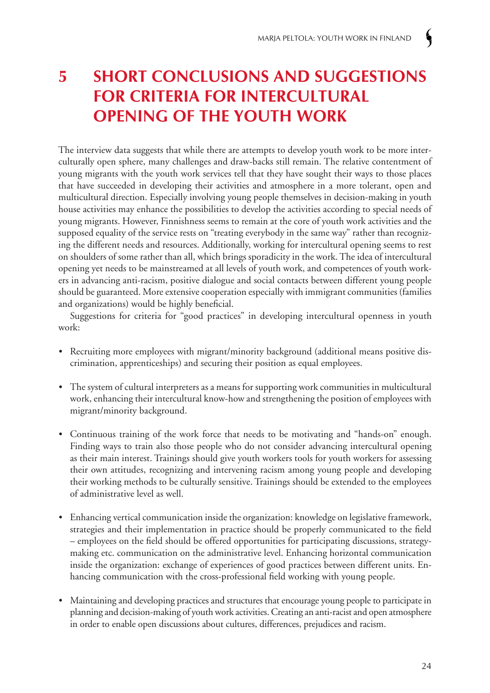# **5 Short conclusions and suggestions** *FOR CRITERIA FOR INTERCULTURAL*  **opening of the youth work**

The interview data suggests that while there are attempts to develop youth work to be more interculturally open sphere, many challenges and draw-backs still remain. The relative contentment of young migrants with the youth work services tell that they have sought their ways to those places that have succeeded in developing their activities and atmosphere in a more tolerant, open and multicultural direction. Especially involving young people themselves in decision-making in youth house activities may enhance the possibilities to develop the activities according to special needs of young migrants. However, Finnishness seems to remain at the core of youth work activities and the supposed equality of the service rests on "treating everybody in the same way" rather than recognizing the different needs and resources. Additionally, working for intercultural opening seems to rest on shoulders of some rather than all, which brings sporadicity in the work. The idea of intercultural opening yet needs to be mainstreamed at all levels of youth work, and competences of youth workers in advancing anti-racism, positive dialogue and social contacts between different young people should be guaranteed. More extensive cooperation especially with immigrant communities (families and organizations) would be highly beneficial.

Suggestions for criteria for "good practices" in developing intercultural openness in youth work:

- Recruiting more employees with migrant/minority background (additional means positive discrimination, apprenticeships) and securing their position as equal employees.
- The system of cultural interpreters as a means for supporting work communities in multicultural work, enhancing their intercultural know-how and strengthening the position of employees with migrant/minority background.
- Continuous training of the work force that needs to be motivating and "hands-on" enough. Finding ways to train also those people who do not consider advancing intercultural opening as their main interest. Trainings should give youth workers tools for youth workers for assessing their own attitudes, recognizing and intervening racism among young people and developing their working methods to be culturally sensitive. Trainings should be extended to the employees of administrative level as well.
- Enhancing vertical communication inside the organization: knowledge on legislative framework, strategies and their implementation in practice should be properly communicated to the field – employees on the field should be offered opportunities for participating discussions, strategymaking etc. communication on the administrative level. Enhancing horizontal communication inside the organization: exchange of experiences of good practices between different units. Enhancing communication with the cross-professional field working with young people.
- Maintaining and developing practices and structures that encourage young people to participate in planning and decision-making of youth work activities. Creating an anti-racist and open atmosphere in order to enable open discussions about cultures, differences, prejudices and racism.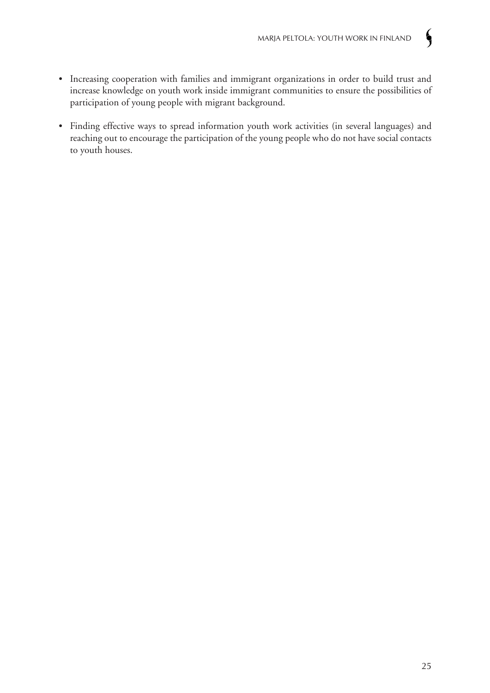- Increasing cooperation with families and immigrant organizations in order to build trust and increase knowledge on youth work inside immigrant communities to ensure the possibilities of participation of young people with migrant background.
- Finding effective ways to spread information youth work activities (in several languages) and reaching out to encourage the participation of the young people who do not have social contacts to youth houses.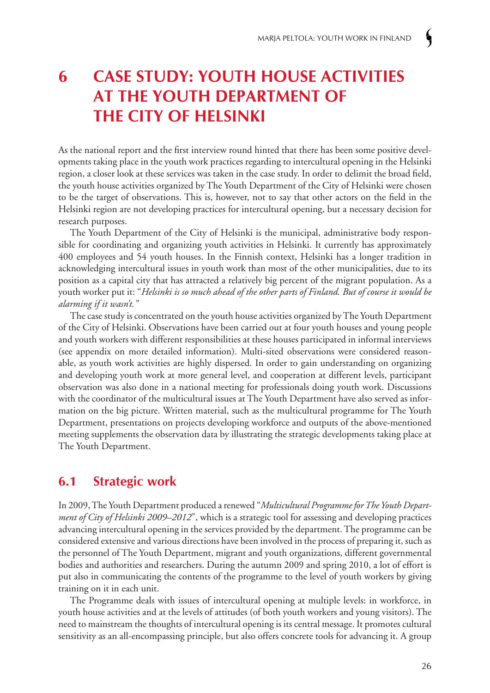# **6 Case study: youth house activities at The Youth Department of the City of Helsinki**

As the national report and the first interview round hinted that there has been some positive developments taking place in the youth work practices regarding to intercultural opening in the Helsinki region, a closer look at these services was taken in the case study. In order to delimit the broad field, the youth house activities organized by The Youth Department of the City of Helsinki were chosen to be the target of observations. This is, however, not to say that other actors on the field in the Helsinki region are not developing practices for intercultural opening, but a necessary decision for research purposes.

The Youth Department of the City of Helsinki is the municipal, administrative body responsible for coordinating and organizing youth activities in Helsinki. It currently has approximately 400 employees and 54 youth houses. In the Finnish context, Helsinki has a longer tradition in acknowledging intercultural issues in youth work than most of the other municipalities, due to its position as a capital city that has attracted a relatively big percent of the migrant population. As a youth worker put it: "*Helsinki is so much ahead of the other parts of Finland. But of course it would be alarming if it wasn't."* 

The case study is concentrated on the youth house activities organized by The Youth Department of the City of Helsinki. Observations have been carried out at four youth houses and young people and youth workers with different responsibilities at these houses participated in informal interviews (see appendix on more detailed information). Multi-sited observations were considered reasonable, as youth work activities are highly dispersed. In order to gain understanding on organizing and developing youth work at more general level, and cooperation at different levels, participant observation was also done in a national meeting for professionals doing youth work. Discussions with the coordinator of the multicultural issues at The Youth Department have also served as information on the big picture. Written material, such as the multicultural programme for The Youth Department, presentations on projects developing workforce and outputs of the above-mentioned meeting supplements the observation data by illustrating the strategic developments taking place at The Youth Department.

### **6.1 Strategic work**

In 2009, The Youth Department produced a renewed "*Multicultural Programme for The Youth Department of City of Helsinki 2009–2012*", which is a strategic tool for assessing and developing practices advancing intercultural opening in the services provided by the department. The programme can be considered extensive and various directions have been involved in the process of preparing it, such as the personnel of The Youth Department, migrant and youth organizations, different governmental bodies and authorities and researchers. During the autumn 2009 and spring 2010, a lot of effort is put also in communicating the contents of the programme to the level of youth workers by giving training on it in each unit.

The Programme deals with issues of intercultural opening at multiple levels: in workforce, in youth house activities and at the levels of attitudes (of both youth workers and young visitors). The need to mainstream the thoughts of intercultural opening is its central message. It promotes cultural sensitivity as an all-encompassing principle, but also offers concrete tools for advancing it. A group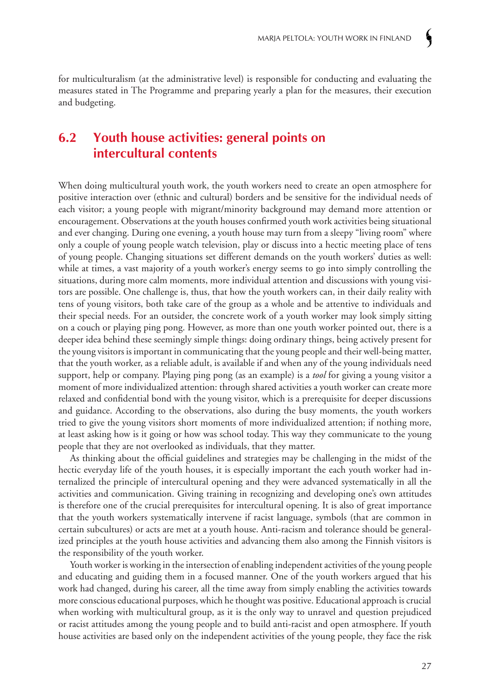for multiculturalism (at the administrative level) is responsible for conducting and evaluating the measures stated in The Programme and preparing yearly a plan for the measures, their execution and budgeting.

# **6.2 Youth house activities: general points on intercultural contents**

When doing multicultural youth work, the youth workers need to create an open atmosphere for positive interaction over (ethnic and cultural) borders and be sensitive for the individual needs of each visitor; a young people with migrant/minority background may demand more attention or encouragement. Observations at the youth houses confirmed youth work activities being situational and ever changing. During one evening, a youth house may turn from a sleepy "living room" where only a couple of young people watch television, play or discuss into a hectic meeting place of tens of young people. Changing situations set different demands on the youth workers' duties as well: while at times, a vast majority of a youth worker's energy seems to go into simply controlling the situations, during more calm moments, more individual attention and discussions with young visitors are possible. One challenge is, thus, that how the youth workers can, in their daily reality with tens of young visitors, both take care of the group as a whole and be attentive to individuals and their special needs. For an outsider, the concrete work of a youth worker may look simply sitting on a couch or playing ping pong. However, as more than one youth worker pointed out, there is a deeper idea behind these seemingly simple things: doing ordinary things, being actively present for the young visitors is important in communicating that the young people and their well-being matter, that the youth worker, as a reliable adult, is available if and when any of the young individuals need support, help or company. Playing ping pong (as an example) is a *tool* for giving a young visitor a moment of more individualized attention: through shared activities a youth worker can create more relaxed and confidential bond with the young visitor, which is a prerequisite for deeper discussions and guidance. According to the observations, also during the busy moments, the youth workers tried to give the young visitors short moments of more individualized attention; if nothing more, at least asking how is it going or how was school today. This way they communicate to the young people that they are not overlooked as individuals, that they matter.

As thinking about the official guidelines and strategies may be challenging in the midst of the hectic everyday life of the youth houses, it is especially important the each youth worker had internalized the principle of intercultural opening and they were advanced systematically in all the activities and communication. Giving training in recognizing and developing one's own attitudes is therefore one of the crucial prerequisites for intercultural opening. It is also of great importance that the youth workers systematically intervene if racist language, symbols (that are common in certain subcultures) or acts are met at a youth house. Anti-racism and tolerance should be generalized principles at the youth house activities and advancing them also among the Finnish visitors is the responsibility of the youth worker.

Youth worker is working in the intersection of enabling independent activities of the young people and educating and guiding them in a focused manner. One of the youth workers argued that his work had changed, during his career, all the time away from simply enabling the activities towards more conscious educational purposes, which he thought was positive. Educational approach is crucial when working with multicultural group, as it is the only way to unravel and question prejudiced or racist attitudes among the young people and to build anti-racist and open atmosphere. If youth house activities are based only on the independent activities of the young people, they face the risk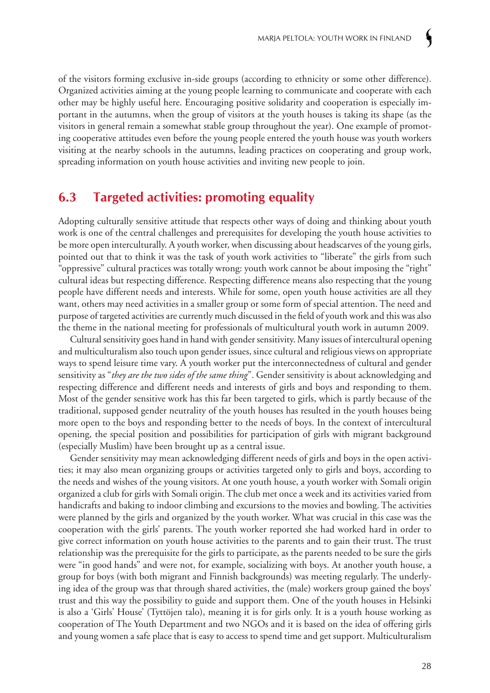of the visitors forming exclusive in-side groups (according to ethnicity or some other difference). Organized activities aiming at the young people learning to communicate and cooperate with each other may be highly useful here. Encouraging positive solidarity and cooperation is especially important in the autumns, when the group of visitors at the youth houses is taking its shape (as the visitors in general remain a somewhat stable group throughout the year). One example of promoting cooperative attitudes even before the young people entered the youth house was youth workers visiting at the nearby schools in the autumns, leading practices on cooperating and group work, spreading information on youth house activities and inviting new people to join.

# **6.3 Targeted activities: promoting equality**

Adopting culturally sensitive attitude that respects other ways of doing and thinking about youth work is one of the central challenges and prerequisites for developing the youth house activities to be more open interculturally. A youth worker, when discussing about headscarves of the young girls, pointed out that to think it was the task of youth work activities to "liberate" the girls from such "oppressive" cultural practices was totally wrong: youth work cannot be about imposing the "right" cultural ideas but respecting difference. Respecting difference means also respecting that the young people have different needs and interests. While for some, open youth house activities are all they want, others may need activities in a smaller group or some form of special attention. The need and purpose of targeted activities are currently much discussed in the field of youth work and this was also the theme in the national meeting for professionals of multicultural youth work in autumn 2009.

Cultural sensitivity goes hand in hand with gender sensitivity. Many issues of intercultural opening and multiculturalism also touch upon gender issues, since cultural and religious views on appropriate ways to spend leisure time vary. A youth worker put the interconnectedness of cultural and gender sensitivity as "*they are the two sides of the same thing*". Gender sensitivity is about acknowledging and respecting difference and different needs and interests of girls and boys and responding to them. Most of the gender sensitive work has this far been targeted to girls, which is partly because of the traditional, supposed gender neutrality of the youth houses has resulted in the youth houses being more open to the boys and responding better to the needs of boys. In the context of intercultural opening, the special position and possibilities for participation of girls with migrant background (especially Muslim) have been brought up as a central issue.

Gender sensitivity may mean acknowledging different needs of girls and boys in the open activities; it may also mean organizing groups or activities targeted only to girls and boys, according to the needs and wishes of the young visitors. At one youth house, a youth worker with Somali origin organized a club for girls with Somali origin. The club met once a week and its activities varied from handicrafts and baking to indoor climbing and excursions to the movies and bowling. The activities were planned by the girls and organized by the youth worker. What was crucial in this case was the cooperation with the girls' parents. The youth worker reported she had worked hard in order to give correct information on youth house activities to the parents and to gain their trust. The trust relationship was the prerequisite for the girls to participate, as the parents needed to be sure the girls were "in good hands" and were not, for example, socializing with boys. At another youth house, a group for boys (with both migrant and Finnish backgrounds) was meeting regularly. The underlying idea of the group was that through shared activities, the (male) workers group gained the boys' trust and this way the possibility to guide and support them. One of the youth houses in Helsinki is also a 'Girls' House' (Tyttöjen talo), meaning it is for girls only. It is a youth house working as cooperation of The Youth Department and two NGOs and it is based on the idea of offering girls and young women a safe place that is easy to access to spend time and get support. Multiculturalism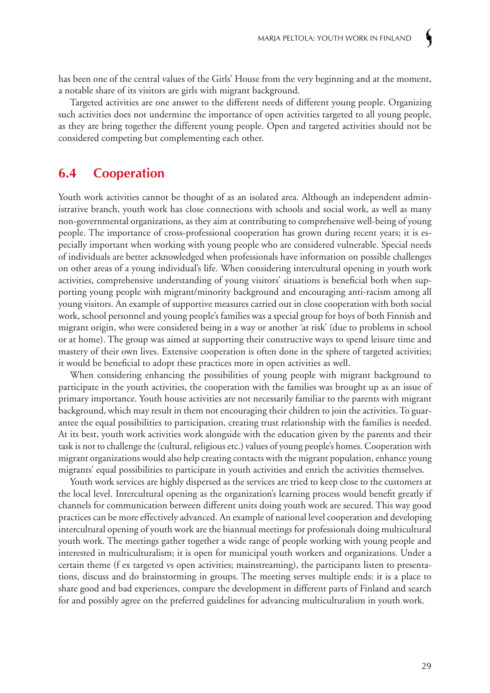has been one of the central values of the Girls' House from the very beginning and at the moment, a notable share of its visitors are girls with migrant background.

Targeted activities are one answer to the different needs of different young people. Organizing such activities does not undermine the importance of open activities targeted to all young people, as they are bring together the different young people. Open and targeted activities should not be considered competing but complementing each other.

### **6.4 Cooperation**

Youth work activities cannot be thought of as an isolated area. Although an independent administrative branch, youth work has close connections with schools and social work, as well as many non-governmental organizations, as they aim at contributing to comprehensive well-being of young people. The importance of cross-professional cooperation has grown during recent years; it is especially important when working with young people who are considered vulnerable. Special needs of individuals are better acknowledged when professionals have information on possible challenges on other areas of a young individual's life. When considering intercultural opening in youth work activities, comprehensive understanding of young visitors' situations is beneficial both when supporting young people with migrant/minority background and encouraging anti-racism among all young visitors. An example of supportive measures carried out in close cooperation with both social work, school personnel and young people's families was a special group for boys of both Finnish and migrant origin, who were considered being in a way or another 'at risk' (due to problems in school or at home). The group was aimed at supporting their constructive ways to spend leisure time and mastery of their own lives. Extensive cooperation is often done in the sphere of targeted activities; it would be beneficial to adopt these practices more in open activities as well.

When considering enhancing the possibilities of young people with migrant background to participate in the youth activities, the cooperation with the families was brought up as an issue of primary importance. Youth house activities are not necessarily familiar to the parents with migrant background, which may result in them not encouraging their children to join the activities. To guarantee the equal possibilities to participation, creating trust relationship with the families is needed. At its best, youth work activities work alongside with the education given by the parents and their task is not to challenge the (cultural, religious etc.) values of young people's homes. Cooperation with migrant organizations would also help creating contacts with the migrant population, enhance young migrants' equal possibilities to participate in youth activities and enrich the activities themselves.

Youth work services are highly dispersed as the services are tried to keep close to the customers at the local level. Intercultural opening as the organization's learning process would benefit greatly if channels for communication between different units doing youth work are secured. This way good practices can be more effectively advanced. An example of national level cooperation and developing intercultural opening of youth work are the biannual meetings for professionals doing multicultural youth work. The meetings gather together a wide range of people working with young people and interested in multiculturalism; it is open for municipal youth workers and organizations. Under a certain theme (f ex targeted vs open activities; mainstreaming), the participants listen to presentations, discuss and do brainstorming in groups. The meeting serves multiple ends: it is a place to share good and bad experiences, compare the development in different parts of Finland and search for and possibly agree on the preferred guidelines for advancing multiculturalism in youth work.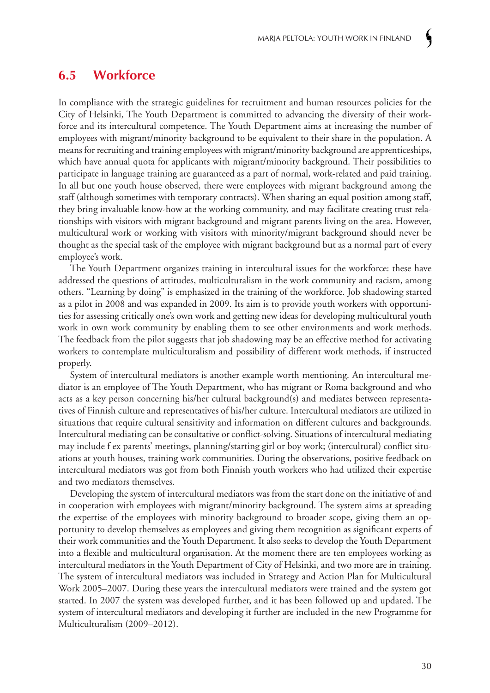### **6.5 Workforce**

In compliance with the strategic guidelines for recruitment and human resources policies for the City of Helsinki, The Youth Department is committed to advancing the diversity of their workforce and its intercultural competence. The Youth Department aims at increasing the number of employees with migrant/minority background to be equivalent to their share in the population. A means for recruiting and training employees with migrant/minority background are apprenticeships, which have annual quota for applicants with migrant/minority background. Their possibilities to participate in language training are guaranteed as a part of normal, work-related and paid training. In all but one youth house observed, there were employees with migrant background among the staff (although sometimes with temporary contracts). When sharing an equal position among staff, they bring invaluable know-how at the working community, and may facilitate creating trust relationships with visitors with migrant background and migrant parents living on the area. However, multicultural work or working with visitors with minority/migrant background should never be thought as the special task of the employee with migrant background but as a normal part of every employee's work.

The Youth Department organizes training in intercultural issues for the workforce: these have addressed the questions of attitudes, multiculturalism in the work community and racism, among others. "Learning by doing" is emphasized in the training of the workforce. Job shadowing started as a pilot in 2008 and was expanded in 2009. Its aim is to provide youth workers with opportunities for assessing critically one's own work and getting new ideas for developing multicultural youth work in own work community by enabling them to see other environments and work methods. The feedback from the pilot suggests that job shadowing may be an effective method for activating workers to contemplate multiculturalism and possibility of different work methods, if instructed properly.

System of intercultural mediators is another example worth mentioning. An intercultural mediator is an employee of The Youth Department, who has migrant or Roma background and who acts as a key person concerning his/her cultural background(s) and mediates between representatives of Finnish culture and representatives of his/her culture. Intercultural mediators are utilized in situations that require cultural sensitivity and information on different cultures and backgrounds. Intercultural mediating can be consultative or conflict-solving. Situations of intercultural mediating may include f ex parents' meetings, planning/starting girl or boy work; (intercultural) conflict situations at youth houses, training work communities. During the observations, positive feedback on intercultural mediators was got from both Finnish youth workers who had utilized their expertise and two mediators themselves.

Developing the system of intercultural mediators was from the start done on the initiative of and in cooperation with employees with migrant/minority background. The system aims at spreading the expertise of the employees with minority background to broader scope, giving them an opportunity to develop themselves as employees and giving them recognition as significant experts of their work communities and the Youth Department. It also seeks to develop the Youth Department into a flexible and multicultural organisation. At the moment there are ten employees working as intercultural mediators in the Youth Department of City of Helsinki, and two more are in training. The system of intercultural mediators was included in Strategy and Action Plan for Multicultural Work 2005–2007. During these years the intercultural mediators were trained and the system got started. In 2007 the system was developed further, and it has been followed up and updated. The system of intercultural mediators and developing it further are included in the new Programme for Multiculturalism (2009–2012).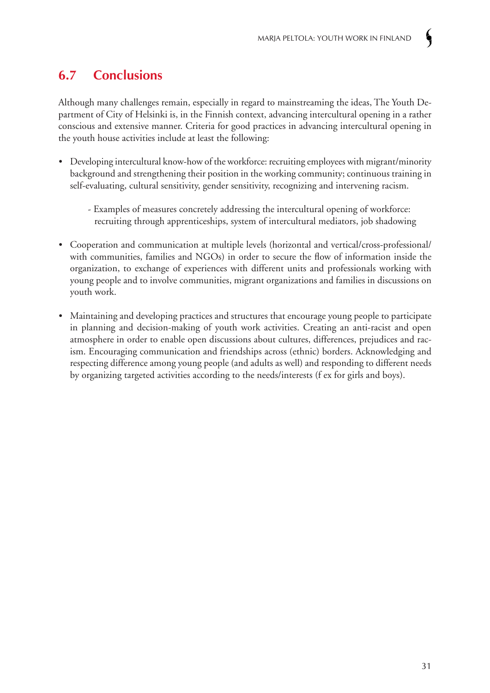# **6.7 Conclusions**

Although many challenges remain, especially in regard to mainstreaming the ideas, The Youth Department of City of Helsinki is, in the Finnish context, advancing intercultural opening in a rather conscious and extensive manner. Criteria for good practices in advancing intercultural opening in the youth house activities include at least the following:

- Developing intercultural know-how of the workforce: recruiting employees with migrant/minority background and strengthening their position in the working community; continuous training in self-evaluating, cultural sensitivity, gender sensitivity, recognizing and intervening racism.
	- Examples of measures concretely addressing the intercultural opening of workforce: recruiting through apprenticeships, system of intercultural mediators, job shadowing
- Cooperation and communication at multiple levels (horizontal and vertical/cross-professional/ with communities, families and NGOs) in order to secure the flow of information inside the organization, to exchange of experiences with different units and professionals working with young people and to involve communities, migrant organizations and families in discussions on youth work.
- Maintaining and developing practices and structures that encourage young people to participate in planning and decision-making of youth work activities. Creating an anti-racist and open atmosphere in order to enable open discussions about cultures, differences, prejudices and racism. Encouraging communication and friendships across (ethnic) borders. Acknowledging and respecting difference among young people (and adults as well) and responding to different needs by organizing targeted activities according to the needs/interests (f ex for girls and boys).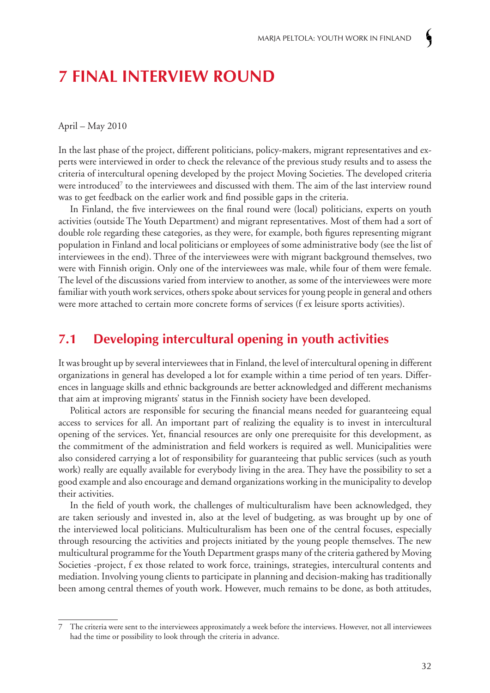# **7 Final interview round**

April – May 2010

In the last phase of the project, different politicians, policy-makers, migrant representatives and experts were interviewed in order to check the relevance of the previous study results and to assess the criteria of intercultural opening developed by the project Moving Societies. The developed criteria were introduced<sup>7</sup> to the interviewees and discussed with them. The aim of the last interview round was to get feedback on the earlier work and find possible gaps in the criteria.

In Finland, the five interviewees on the final round were (local) politicians, experts on youth activities (outside The Youth Department) and migrant representatives. Most of them had a sort of double role regarding these categories, as they were, for example, both figures representing migrant population in Finland and local politicians or employees of some administrative body (see the list of interviewees in the end). Three of the interviewees were with migrant background themselves, two were with Finnish origin. Only one of the interviewees was male, while four of them were female. The level of the discussions varied from interview to another, as some of the interviewees were more familiar with youth work services, others spoke about services for young people in general and others were more attached to certain more concrete forms of services (f ex leisure sports activities).

### **7.1 Developing intercultural opening in youth activities**

It was brought up by several interviewees that in Finland, the level of intercultural opening in different organizations in general has developed a lot for example within a time period of ten years. Differences in language skills and ethnic backgrounds are better acknowledged and different mechanisms that aim at improving migrants' status in the Finnish society have been developed.

Political actors are responsible for securing the financial means needed for guaranteeing equal access to services for all. An important part of realizing the equality is to invest in intercultural opening of the services. Yet, financial resources are only one prerequisite for this development, as the commitment of the administration and field workers is required as well. Municipalities were also considered carrying a lot of responsibility for guaranteeing that public services (such as youth work) really are equally available for everybody living in the area. They have the possibility to set a good example and also encourage and demand organizations working in the municipality to develop their activities.

In the field of youth work, the challenges of multiculturalism have been acknowledged, they are taken seriously and invested in, also at the level of budgeting, as was brought up by one of the interviewed local politicians. Multiculturalism has been one of the central focuses, especially through resourcing the activities and projects initiated by the young people themselves. The new multicultural programme for the Youth Department grasps many of the criteria gathered by Moving Societies -project, f ex those related to work force, trainings, strategies, intercultural contents and mediation. Involving young clients to participate in planning and decision-making has traditionally been among central themes of youth work. However, much remains to be done, as both attitudes,

<sup>7</sup> The criteria were sent to the interviewees approximately a week before the interviews. However, not all interviewees had the time or possibility to look through the criteria in advance.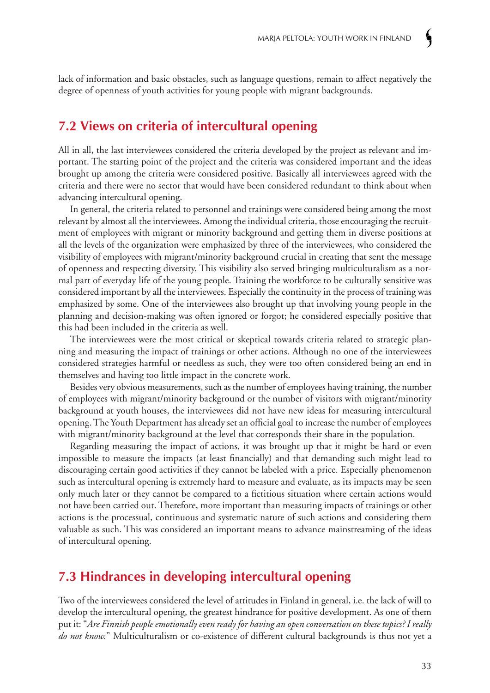lack of information and basic obstacles, such as language questions, remain to affect negatively the degree of openness of youth activities for young people with migrant backgrounds.

### **7.2 Views on criteria of intercultural opening**

All in all, the last interviewees considered the criteria developed by the project as relevant and important. The starting point of the project and the criteria was considered important and the ideas brought up among the criteria were considered positive. Basically all interviewees agreed with the criteria and there were no sector that would have been considered redundant to think about when advancing intercultural opening.

In general, the criteria related to personnel and trainings were considered being among the most relevant by almost all the interviewees. Among the individual criteria, those encouraging the recruitment of employees with migrant or minority background and getting them in diverse positions at all the levels of the organization were emphasized by three of the interviewees, who considered the visibility of employees with migrant/minority background crucial in creating that sent the message of openness and respecting diversity. This visibility also served bringing multiculturalism as a normal part of everyday life of the young people. Training the workforce to be culturally sensitive was considered important by all the interviewees. Especially the continuity in the process of training was emphasized by some. One of the interviewees also brought up that involving young people in the planning and decision-making was often ignored or forgot; he considered especially positive that this had been included in the criteria as well.

The interviewees were the most critical or skeptical towards criteria related to strategic planning and measuring the impact of trainings or other actions. Although no one of the interviewees considered strategies harmful or needless as such, they were too often considered being an end in themselves and having too little impact in the concrete work.

Besides very obvious measurements, such as the number of employees having training, the number of employees with migrant/minority background or the number of visitors with migrant/minority background at youth houses, the interviewees did not have new ideas for measuring intercultural opening. The Youth Department has already set an official goal to increase the number of employees with migrant/minority background at the level that corresponds their share in the population.

Regarding measuring the impact of actions, it was brought up that it might be hard or even impossible to measure the impacts (at least financially) and that demanding such might lead to discouraging certain good activities if they cannot be labeled with a price. Especially phenomenon such as intercultural opening is extremely hard to measure and evaluate, as its impacts may be seen only much later or they cannot be compared to a fictitious situation where certain actions would not have been carried out. Therefore, more important than measuring impacts of trainings or other actions is the processual, continuous and systematic nature of such actions and considering them valuable as such. This was considered an important means to advance mainstreaming of the ideas of intercultural opening.

## **7.3 Hindrances in developing intercultural opening**

Two of the interviewees considered the level of attitudes in Finland in general, i.e. the lack of will to develop the intercultural opening, the greatest hindrance for positive development. As one of them put it: "*Are Finnish people emotionally even ready for having an open conversation on these topics? I really do not know.*" Multiculturalism or co-existence of different cultural backgrounds is thus not yet a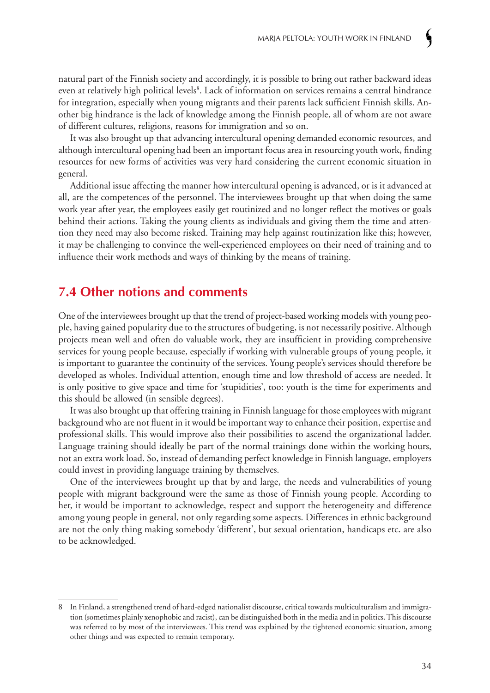natural part of the Finnish society and accordingly, it is possible to bring out rather backward ideas even at relatively high political levels<sup>8</sup>. Lack of information on services remains a central hindrance for integration, especially when young migrants and their parents lack sufficient Finnish skills. Another big hindrance is the lack of knowledge among the Finnish people, all of whom are not aware of different cultures, religions, reasons for immigration and so on.

It was also brought up that advancing intercultural opening demanded economic resources, and although intercultural opening had been an important focus area in resourcing youth work, finding resources for new forms of activities was very hard considering the current economic situation in general.

Additional issue affecting the manner how intercultural opening is advanced, or is it advanced at all, are the competences of the personnel. The interviewees brought up that when doing the same work year after year, the employees easily get routinized and no longer reflect the motives or goals behind their actions. Taking the young clients as individuals and giving them the time and attention they need may also become risked. Training may help against routinization like this; however, it may be challenging to convince the well-experienced employees on their need of training and to influence their work methods and ways of thinking by the means of training.

### **7.4 Other notions and comments**

One of the interviewees brought up that the trend of project-based working models with young people, having gained popularity due to the structures of budgeting, is not necessarily positive. Although projects mean well and often do valuable work, they are insufficient in providing comprehensive services for young people because, especially if working with vulnerable groups of young people, it is important to guarantee the continuity of the services. Young people's services should therefore be developed as wholes. Individual attention, enough time and low threshold of access are needed. It is only positive to give space and time for 'stupidities', too: youth is the time for experiments and this should be allowed (in sensible degrees).

It was also brought up that offering training in Finnish language for those employees with migrant background who are not fluent in it would be important way to enhance their position, expertise and professional skills. This would improve also their possibilities to ascend the organizational ladder. Language training should ideally be part of the normal trainings done within the working hours, not an extra work load. So, instead of demanding perfect knowledge in Finnish language, employers could invest in providing language training by themselves.

One of the interviewees brought up that by and large, the needs and vulnerabilities of young people with migrant background were the same as those of Finnish young people. According to her, it would be important to acknowledge, respect and support the heterogeneity and difference among young people in general, not only regarding some aspects. Differences in ethnic background are not the only thing making somebody 'different', but sexual orientation, handicaps etc. are also to be acknowledged.

<sup>8</sup> In Finland, a strengthened trend of hard-edged nationalist discourse, critical towards multiculturalism and immigration (sometimes plainly xenophobic and racist), can be distinguished both in the media and in politics. This discourse was referred to by most of the interviewees. This trend was explained by the tightened economic situation, among other things and was expected to remain temporary.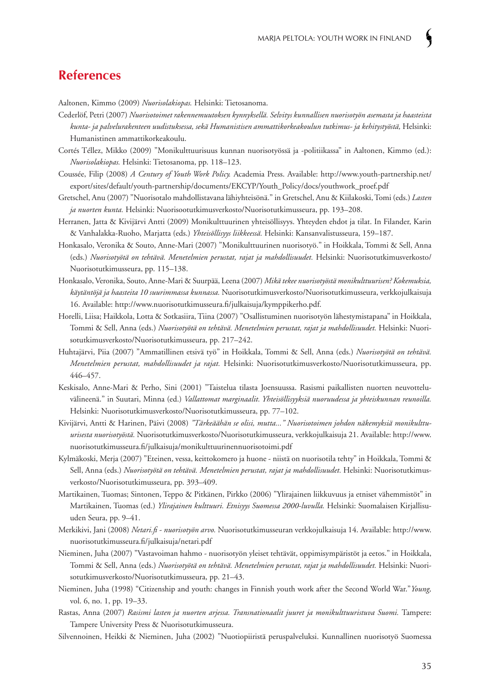### **References**

Aaltonen, Kimmo (2009) *Nuorisolakiopas.* Helsinki: Tietosanoma.

- Cederlöf, Petri (2007) *Nuorisotoimet rakennemuutoksen kynnyksellä. Selvitys kunnallisen nuorisotyön asemasta ja haasteista kunta- ja palvelurakenteen uudistuksessa, sekä Humanistisen ammattikorkeakoulun tutkimus- ja kehitystyöstä,* Helsinki: Humanistinen ammattikorkeakoulu.
- Cortés Téllez, Mikko (2009) "Monikulttuurisuus kunnan nuorisotyössä ja -politiikassa" in Aaltonen, Kimmo (ed.): *Nuorisolakiopas.* Helsinki: Tietosanoma, pp. 118–123.
- Coussée, Filip (2008) *A Century of Youth Work Policy.* Academia Press. Available: http://www.youth-partnership.net/ export/sites/default/youth-partnership/documents/EKCYP/Youth\_Policy/docs/youthwork\_proef.pdf
- Gretschel, Anu (2007) "Nuorisotalo mahdollistavana lähiyhteisönä." in Gretschel, Anu & Kiilakoski, Tomi (eds.) *Lasten ja nuorten kunta.* Helsinki: Nuorisootutkimusverkosto/Nuorisotutkimusseura, pp. 193–208.
- Herranen, Jatta & Kivijärvi Antti (2009) Monikulttuurinen yhteisöllisyys. Yhteyden ehdot ja tilat. In Filander, Karin & Vanhalakka-Ruoho, Marjatta (eds.) *Yhteisöllisyys liikkeessä.* Helsinki: Kansanvalistusseura, 159–187.
- Honkasalo, Veronika & Souto, Anne-Mari (2007) "Monikulttuurinen nuorisotyö." in Hoikkala, Tommi & Sell, Anna (eds.) *Nuorisotyötä on tehtävä. Menetelmien perustat, rajat ja mahdollisuudet.* Helsinki: Nuorisotutkimusverkosto/ Nuorisotutkimusseura, pp. 115–138.
- Honkasalo, Veronika, Souto, Anne-Mari & Suurpää, Leena (2007) *Mikä tekee nuorisotyöstä monikulttuurisen? Kokemuksia, käytäntöjä ja haasteita 10 suurimmassa kunnassa.* Nuorisotutkimusverkosto/Nuorisotutkimusseura, verkkojulkaisuja 16. Available: http://www.nuorisotutkimusseura.fi/julkaisuja/kymppikerho.pdf.
- Horelli, Liisa; Haikkola, Lotta & Sotkasiira, Tiina (2007) "Osallistuminen nuorisotyön lähestymistapana" in Hoikkala, Tommi & Sell, Anna (eds.) *Nuorisotyötä on tehtävä. Menetelmien perustat, rajat ja mahdollisuudet.* Helsinki: Nuorisotutkimusverkosto/Nuorisotutkimusseura, pp. 217–242.
- Huhtajärvi, Piia (2007) "Ammatillinen etsivä työ" in Hoikkala, Tommi & Sell, Anna (eds.) *Nuorisotyötä on tehtävä. Menetelmien perustat, mahdollisuudet ja rajat.* Helsinki: Nuorisotutkimusverkosto/Nuorisotutkimusseura, pp. 446–457.
- Keskisalo, Anne-Mari & Perho, Sini (2001) "Taistelua tilasta Joensuussa. Rasismi paikallisten nuorten neuvotteluvälineenä." in Suutari, Minna (ed.) *Vallattomat marginaalit. Yhteisöllisyyksiä nuoruudessa ja yhteiskunnan reunoilla.* Helsinki: Nuorisotutkimusverkosto/Nuorisotutkimusseura, pp. 77–102.
- Kivijärvi, Antti & Harinen, Päivi (2008) *"Tärkeäähän se olisi, mutta..." Nuorisotoimen johdon näkemyksiä monikulttuurisesta nuorisotyöstä.* Nuorisotutkimusverkosto/Nuorisotutkimusseura, verkkojulkaisuja 21. Available: http://www. nuorisotutkimusseura.fi/julkaisuja/monikulttuurinennuorisotoimi.pdf
- Kylmäkoski, Merja (2007) "Eteinen, vessa, keittokomero ja huone niistä on nuorisotila tehty" in Hoikkala, Tommi & Sell, Anna (eds.) *Nuorisotyötä on tehtävä. Menetelmien perustat, rajat ja mahdollisuudet.* Helsinki: Nuorisotutkimusverkosto/Nuorisotutkimusseura, pp. 393–409.
- Martikainen, Tuomas; Sintonen, Teppo & Pitkänen, Pirkko (2006) "Ylirajainen liikkuvuus ja etniset vähemmistöt" in Martikainen, Tuomas (ed.) *Ylirajainen kulttuuri. Etnisyys Suomessa 2000-luvulla.* Helsinki: Suomalaisen Kirjallisuuden Seura, pp. 9–41.
- Merkikivi, Jani (2008) *Netari.fi nuorisotyön arvo.* Nuorisotutkimusseuran verkkojulkaisuja 14. Available: http://www. nuorisotutkimusseura.fi/julkaisuja/netari.pdf
- Nieminen, Juha (2007) "Vastavoiman hahmo nuorisotyön yleiset tehtävät, oppimisympäristöt ja eetos." in Hoikkala, Tommi & Sell, Anna (eds.) *Nuorisotyötä on tehtävä. Menetelmien perustat, rajat ja mahdollisuudet.* Helsinki: Nuorisotutkimusverkosto/Nuorisotutkimusseura, pp. 21–43.
- Nieminen, Juha (1998) "Citizenship and youth: changes in Finnish youth work after the Second World War."*Young,*  vol. 6, no. 1, pp. 19–33.
- Rastas, Anna (2007) *Rasismi lasten ja nuorten arjessa. Transnationaalit juuret ja monikulttuuristuva Suomi.* Tampere: Tampere University Press & Nuorisotutkimusseura.
- Silvennoinen, Heikki & Nieminen, Juha (2002) "Nuotiopiiristä peruspalveluksi. Kunnallinen nuorisotyö Suomessa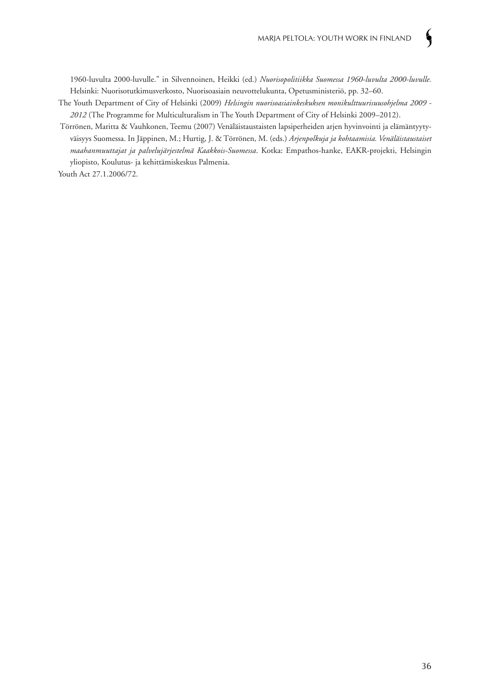1960-luvulta 2000-luvulle." in Silvennoinen, Heikki (ed.) *Nuorisopolitiikka Suomessa 1960-luvulta 2000-luvulle.* Helsinki: Nuorisotutkimusverkosto, Nuorisoasiain neuvottelukunta, Opetusministeriö, pp. 32–60.

- The Youth Department of City of Helsinki (2009) *Helsingin nuorisoasiainkeskuksen monikulttuurisuusohjelma 2009 2012* (The Programme for Multiculturalism in The Youth Department of City of Helsinki 2009–2012).
- Törrönen, Maritta & Vauhkonen, Teemu (2007) Venäläistaustaisten lapsiperheiden arjen hyvinvointi ja elämäntyytyväisyys Suomessa. In Jäppinen, M.; Hurtig, J. & Törrönen, M. (eds.) *Arjenpolkuja ja kohtaamisia. Venäläistaustaiset maahanmuuttajat ja palvelujärjestelmä Kaakkois-Suomessa*. Kotka: Empathos-hanke, EAKR-projekti, Helsingin yliopisto, Koulutus- ja kehittämiskeskus Palmenia.

Youth Act 27.1.2006/72.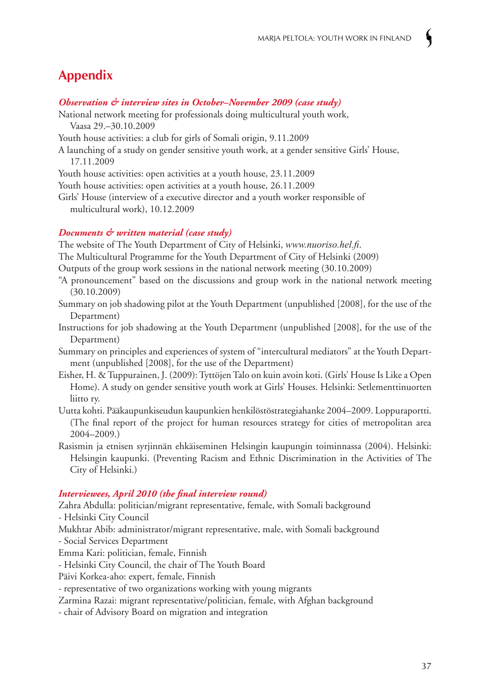### **Appendix**

#### *Observation & interview sites in October–November 2009 (case study)*

- National network meeting for professionals doing multicultural youth work, Vaasa 29.–30.10.2009
- Youth house activities: a club for girls of Somali origin, 9.11.2009
- A launching of a study on gender sensitive youth work, at a gender sensitive Girls' House, 17.11.2009

Youth house activities: open activities at a youth house, 23.11.2009

Youth house activities: open activities at a youth house, 26.11.2009

Girls' House (interview of a executive director and a youth worker responsible of multicultural work), 10.12.2009

#### *Documents & written material (case study)*

The website of The Youth Department of City of Helsinki, *www.nuoriso.hel.fi*.

- The Multicultural Programme for the Youth Department of City of Helsinki (2009)
- Outputs of the group work sessions in the national network meeting (30.10.2009)
- "A pronouncement" based on the discussions and group work in the national network meeting (30.10.2009)
- Summary on job shadowing pilot at the Youth Department (unpublished [2008], for the use of the Department)
- Instructions for job shadowing at the Youth Department (unpublished [2008], for the use of the Department)
- Summary on principles and experiences of system of "intercultural mediators" at the Youth Department (unpublished [2008], for the use of the Department)
- Eisher, H. & Tuppurainen, J. (2009): Tyttöjen Talo on kuin avoin koti. (Girls' House Is Like a Open Home). A study on gender sensitive youth work at Girls' Houses. Helsinki: Setlementtinuorten liitto ry.
- Uutta kohti. Pääkaupunkiseudun kaupunkien henkilöstöstrategiahanke 2004–2009. Loppuraportti. (The final report of the project for human resources strategy for cities of metropolitan area 2004–2009.)
- Rasismin ja etnisen syrjinnän ehkäiseminen Helsingin kaupungin toiminnassa (2004). Helsinki: Helsingin kaupunki. (Preventing Racism and Ethnic Discrimination in the Activities of The City of Helsinki.)

#### *Interviewees, April 2010 (the final interview round)*

Zahra Abdulla: politician/migrant representative, female, with Somali background - Helsinki City Council

- Mukhtar Abib: administrator/migrant representative, male, with Somali background
- Social Services Department
- Emma Kari: politician, female, Finnish
- Helsinki City Council, the chair of The Youth Board
- Päivi Korkea-aho: expert, female, Finnish
- representative of two organizations working with young migrants

Zarmina Razai: migrant representative/politician, female, with Afghan background

- chair of Advisory Board on migration and integration